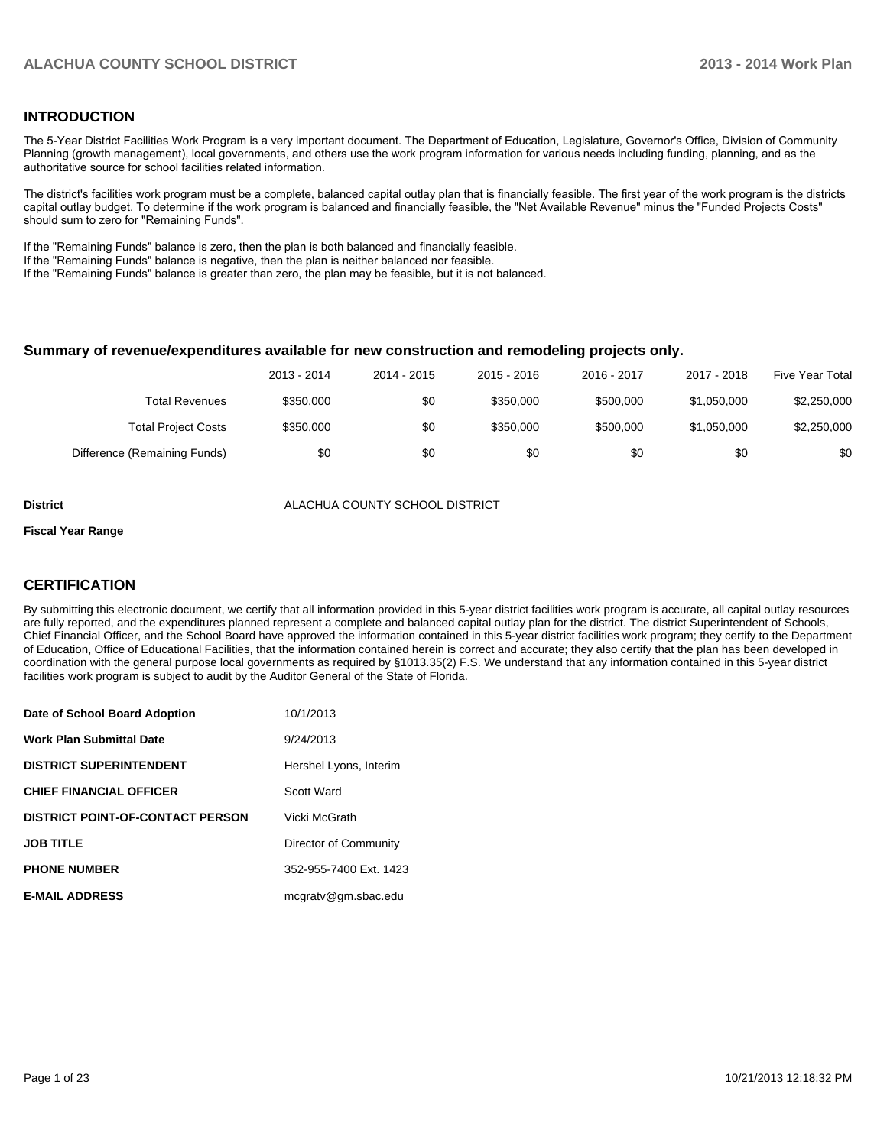#### **INTRODUCTION**

The 5-Year District Facilities Work Program is a very important document. The Department of Education, Legislature, Governor's Office, Division of Community Planning (growth management), local governments, and others use the work program information for various needs including funding, planning, and as the authoritative source for school facilities related information.

The district's facilities work program must be a complete, balanced capital outlay plan that is financially feasible. The first year of the work program is the districts capital outlay budget. To determine if the work program is balanced and financially feasible, the "Net Available Revenue" minus the "Funded Projects Costs" should sum to zero for "Remaining Funds".

If the "Remaining Funds" balance is zero, then the plan is both balanced and financially feasible.

If the "Remaining Funds" balance is negative, then the plan is neither balanced nor feasible.

If the "Remaining Funds" balance is greater than zero, the plan may be feasible, but it is not balanced.

#### **Summary of revenue/expenditures available for new construction and remodeling projects only.**

|                              | 2013 - 2014 | 2014 - 2015 | 2015 - 2016 | 2016 - 2017 | 2017 - 2018 | Five Year Total |
|------------------------------|-------------|-------------|-------------|-------------|-------------|-----------------|
| <b>Total Revenues</b>        | \$350,000   | \$0         | \$350,000   | \$500,000   | \$1.050.000 | \$2,250,000     |
| <b>Total Project Costs</b>   | \$350,000   | \$0         | \$350,000   | \$500,000   | \$1.050.000 | \$2,250,000     |
| Difference (Remaining Funds) | \$0         | \$0         | \$0         | \$0         | \$0         | \$0             |

**District** ALACHUA COUNTY SCHOOL DISTRICT

#### **Fiscal Year Range**

#### **CERTIFICATION**

By submitting this electronic document, we certify that all information provided in this 5-year district facilities work program is accurate, all capital outlay resources are fully reported, and the expenditures planned represent a complete and balanced capital outlay plan for the district. The district Superintendent of Schools, Chief Financial Officer, and the School Board have approved the information contained in this 5-year district facilities work program; they certify to the Department of Education, Office of Educational Facilities, that the information contained herein is correct and accurate; they also certify that the plan has been developed in coordination with the general purpose local governments as required by §1013.35(2) F.S. We understand that any information contained in this 5-year district facilities work program is subject to audit by the Auditor General of the State of Florida.

| Date of School Board Adoption           | 10/1/2013              |
|-----------------------------------------|------------------------|
| <b>Work Plan Submittal Date</b>         | 9/24/2013              |
| <b>DISTRICT SUPERINTENDENT</b>          | Hershel Lyons, Interim |
| <b>CHIEF FINANCIAL OFFICER</b>          | Scott Ward             |
| <b>DISTRICT POINT-OF-CONTACT PERSON</b> | Vicki McGrath          |
| <b>JOB TITLE</b>                        | Director of Community  |
| <b>PHONE NUMBER</b>                     | 352-955-7400 Ext. 1423 |
| <b>E-MAIL ADDRESS</b>                   | mcgratv@gm.sbac.edu    |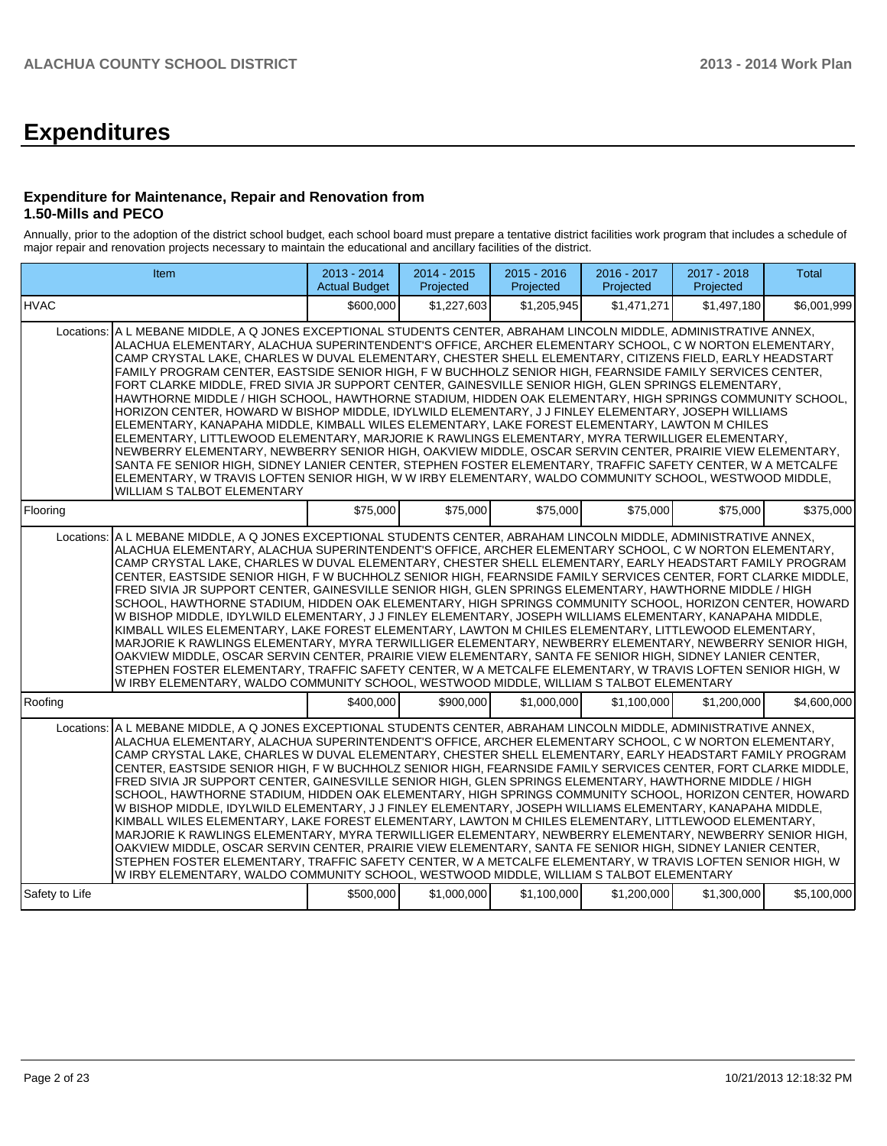# **Expenditures**

#### **Expenditure for Maintenance, Repair and Renovation from 1.50-Mills and PECO**

Annually, prior to the adoption of the district school budget, each school board must prepare a tentative district facilities work program that includes a schedule of major repair and renovation projects necessary to maintain the educational and ancillary facilities of the district.

|                | Item                                                                                                                                                                                                                                                                                                                                                                                                                                                                                                                                                                                                                                                                                                                                                                                                                                                                                                                                                                                                                                                                                                                                                                                                                                                                                                                                                  | 2013 - 2014<br><b>Actual Budget</b> | $2014 - 2015$<br>Projected | $2015 - 2016$<br>Projected | 2016 - 2017<br>Projected | 2017 - 2018<br>Projected | <b>Total</b> |
|----------------|-------------------------------------------------------------------------------------------------------------------------------------------------------------------------------------------------------------------------------------------------------------------------------------------------------------------------------------------------------------------------------------------------------------------------------------------------------------------------------------------------------------------------------------------------------------------------------------------------------------------------------------------------------------------------------------------------------------------------------------------------------------------------------------------------------------------------------------------------------------------------------------------------------------------------------------------------------------------------------------------------------------------------------------------------------------------------------------------------------------------------------------------------------------------------------------------------------------------------------------------------------------------------------------------------------------------------------------------------------|-------------------------------------|----------------------------|----------------------------|--------------------------|--------------------------|--------------|
| <b>IHVAC</b>   |                                                                                                                                                                                                                                                                                                                                                                                                                                                                                                                                                                                                                                                                                                                                                                                                                                                                                                                                                                                                                                                                                                                                                                                                                                                                                                                                                       | \$600,000                           | \$1.227.603                | \$1.205.945                | \$1.471.271              | \$1,497,180              | \$6.001.999  |
|                | Locations: A L MEBANE MIDDLE, A Q JONES EXCEPTIONAL STUDENTS CENTER, ABRAHAM LINCOLN MIDDLE, ADMINISTRATIVE ANNEX,<br>ALACHUA ELEMENTARY, ALACHUA SUPERINTENDENT'S OFFICE, ARCHER ELEMENTARY SCHOOL, C W NORTON ELEMENTARY,<br>CAMP CRYSTAL LAKE, CHARLES W DUVAL ELEMENTARY, CHESTER SHELL ELEMENTARY, CITIZENS FIELD, EARLY HEADSTART<br>FAMILY PROGRAM CENTER, EASTSIDE SENIOR HIGH, F W BUCHHOLZ SENIOR HIGH, FEARNSIDE FAMILY SERVICES CENTER,<br>FORT CLARKE MIDDLE. FRED SIVIA JR SUPPORT CENTER. GAINESVILLE SENIOR HIGH. GLEN SPRINGS ELEMENTARY.<br>HAWTHORNE MIDDLE / HIGH SCHOOL, HAWTHORNE STADIUM, HIDDEN OAK ELEMENTARY, HIGH SPRINGS COMMUNITY SCHOOL,<br>HORIZON CENTER, HOWARD W BISHOP MIDDLE, IDYLWILD ELEMENTARY, J J FINLEY ELEMENTARY, JOSEPH WILLIAMS<br>ELEMENTARY, KANAPAHA MIDDLE, KIMBALL WILES ELEMENTARY, LAKE FOREST ELEMENTARY, LAWTON M CHILES<br>ELEMENTARY, LITTLEWOOD ELEMENTARY, MARJORIE K RAWLINGS ELEMENTARY, MYRA TERWILLIGER ELEMENTARY,<br>NEWBERRY ELEMENTARY, NEWBERRY SENIOR HIGH, OAKVIEW MIDDLE, OSCAR SERVIN CENTER, PRAIRIE VIEW ELEMENTARY,<br>SANTA FE SENIOR HIGH, SIDNEY LANIER CENTER, STEPHEN FOSTER ELEMENTARY, TRAFFIC SAFETY CENTER, W A METCALFE<br>ELEMENTARY, W TRAVIS LOFTEN SENIOR HIGH, W W IRBY ELEMENTARY, WALDO COMMUNITY SCHOOL, WESTWOOD MIDDLE,<br>WILLIAM S TALBOT ELEMENTARY |                                     |                            |                            |                          |                          |              |
| Flooring       |                                                                                                                                                                                                                                                                                                                                                                                                                                                                                                                                                                                                                                                                                                                                                                                                                                                                                                                                                                                                                                                                                                                                                                                                                                                                                                                                                       | \$75,000                            | \$75,000                   | \$75,000                   | \$75,000                 | \$75,000                 | \$375.000    |
| Locations:     | A L MEBANE MIDDLE, A Q JONES EXCEPTIONAL STUDENTS CENTER, ABRAHAM LINCOLN MIDDLE, ADMINISTRATIVE ANNEX,<br>ALACHUA ELEMENTARY, ALACHUA SUPERINTENDENT'S OFFICE, ARCHER ELEMENTARY SCHOOL, C W NORTON ELEMENTARY,<br>CAMP CRYSTAL LAKE, CHARLES W DUVAL ELEMENTARY, CHESTER SHELL ELEMENTARY, EARLY HEADSTART FAMILY PROGRAM<br>CENTER, EASTSIDE SENIOR HIGH, FW BUCHHOLZ SENIOR HIGH, FEARNSIDE FAMILY SERVICES CENTER, FORT CLARKE MIDDLE,<br>FRED SIVIA JR SUPPORT CENTER, GAINESVILLE SENIOR HIGH, GLEN SPRINGS ELEMENTARY, HAWTHORNE MIDDLE / HIGH<br>SCHOOL, HAWTHORNE STADIUM, HIDDEN OAK ELEMENTARY, HIGH SPRINGS COMMUNITY SCHOOL, HORIZON CENTER, HOWARD<br>W BISHOP MIDDLE, IDYLWILD ELEMENTARY, J J FINLEY ELEMENTARY, JOSEPH WILLIAMS ELEMENTARY, KANAPAHA MIDDLE,<br>KIMBALL WILES ELEMENTARY, LAKE FOREST ELEMENTARY, LAWTON M CHILES ELEMENTARY, LITTLEWOOD ELEMENTARY,<br>MARJORIE K RAWLINGS ELEMENTARY, MYRA TERWILLIGER ELEMENTARY, NEWBERRY ELEMENTARY, NEWBERRY SENIOR HIGH,<br>OAKVIEW MIDDLE, OSCAR SERVIN CENTER, PRAIRIE VIEW ELEMENTARY, SANTA FE SENIOR HIGH, SIDNEY LANIER CENTER,<br>STEPHEN FOSTER ELEMENTARY, TRAFFIC SAFETY CENTER, W A METCALFE ELEMENTARY, W TRAVIS LOFTEN SENIOR HIGH, W<br>W IRBY ELEMENTARY, WALDO COMMUNITY SCHOOL, WESTWOOD MIDDLE, WILLIAM S TALBOT ELEMENTARY                                |                                     |                            |                            |                          |                          |              |
| Roofing        |                                                                                                                                                                                                                                                                                                                                                                                                                                                                                                                                                                                                                                                                                                                                                                                                                                                                                                                                                                                                                                                                                                                                                                                                                                                                                                                                                       | \$400.000                           | \$900,000                  | \$1,000,000                | \$1,100,000              | \$1,200,000              | \$4,600,000  |
| Locations:     | A L MEBANE MIDDLE, A Q JONES EXCEPTIONAL STUDENTS CENTER, ABRAHAM LINCOLN MIDDLE, ADMINISTRATIVE ANNEX,<br>ALACHUA ELEMENTARY, ALACHUA SUPERINTENDENT'S OFFICE, ARCHER ELEMENTARY SCHOOL, C W NORTON ELEMENTARY,<br>CAMP CRYSTAL LAKE, CHARLES W DUVAL ELEMENTARY, CHESTER SHELL ELEMENTARY, EARLY HEADSTART FAMILY PROGRAM<br>CENTER, EASTSIDE SENIOR HIGH, FW BUCHHOLZ SENIOR HIGH, FEARNSIDE FAMILY SERVICES CENTER, FORT CLARKE MIDDLE,<br>FRED SIVIA JR SUPPORT CENTER, GAINESVILLE SENIOR HIGH, GLEN SPRINGS ELEMENTARY, HAWTHORNE MIDDLE / HIGH<br>SCHOOL, HAWTHORNE STADIUM, HIDDEN OAK ELEMENTARY, HIGH SPRINGS COMMUNITY SCHOOL, HORIZON CENTER, HOWARD<br>W BISHOP MIDDLE, IDYLWILD ELEMENTARY, J J FINLEY ELEMENTARY, JOSEPH WILLIAMS ELEMENTARY, KANAPAHA MIDDLE,<br>KIMBALL WILES ELEMENTARY, LAKE FOREST ELEMENTARY, LAWTON M CHILES ELEMENTARY, LITTLEWOOD ELEMENTARY,<br>MARJORIE K RAWLINGS ELEMENTARY, MYRA TERWILLIGER ELEMENTARY, NEWBERRY ELEMENTARY, NEWBERRY SENIOR HIGH,<br>OAKVIEW MIDDLE, OSCAR SERVIN CENTER, PRAIRIE VIEW ELEMENTARY, SANTA FE SENIOR HIGH, SIDNEY LANIER CENTER,<br>STEPHEN FOSTER ELEMENTARY, TRAFFIC SAFETY CENTER, W A METCALFE ELEMENTARY, W TRAVIS LOFTEN SENIOR HIGH, W<br>W IRBY ELEMENTARY, WALDO COMMUNITY SCHOOL, WESTWOOD MIDDLE, WILLIAM S TALBOT ELEMENTARY                                |                                     |                            |                            |                          |                          |              |
| Safety to Life |                                                                                                                                                                                                                                                                                                                                                                                                                                                                                                                                                                                                                                                                                                                                                                                                                                                                                                                                                                                                                                                                                                                                                                                                                                                                                                                                                       | \$500,000                           | \$1,000,000                | \$1,100,000                | \$1,200,000              | \$1,300,000              | \$5,100,000  |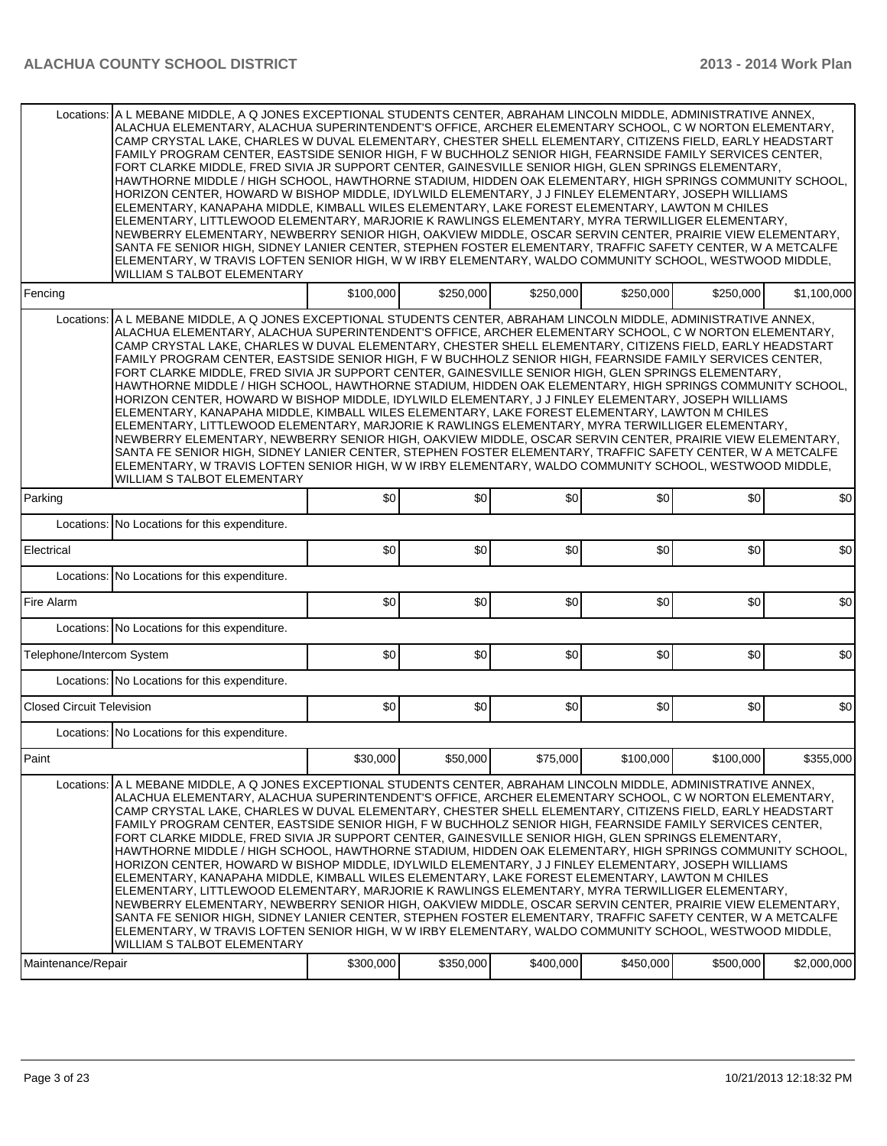|                                  | Locations: A L MEBANE MIDDLE, A Q JONES EXCEPTIONAL STUDENTS CENTER, ABRAHAM LINCOLN MIDDLE, ADMINISTRATIVE ANNEX,<br>ALACHUA ELEMENTARY, ALACHUA SUPERINTENDENT'S OFFICE, ARCHER ELEMENTARY SCHOOL, C W NORTON ELEMENTARY,<br>CAMP CRYSTAL LAKE, CHARLES W DUVAL ELEMENTARY, CHESTER SHELL ELEMENTARY, CITIZENS FIELD, EARLY HEADSTART<br>FAMILY PROGRAM CENTER, EASTSIDE SENIOR HIGH, F W BUCHHOLZ SENIOR HIGH, FEARNSIDE FAMILY SERVICES CENTER,<br>FORT CLARKE MIDDLE, FRED SIVIA JR SUPPORT CENTER, GAINESVILLE SENIOR HIGH, GLEN SPRINGS ELEMENTARY,<br>HAWTHORNE MIDDLE / HIGH SCHOOL, HAWTHORNE STADIUM, HIDDEN OAK ELEMENTARY, HIGH SPRINGS COMMUNITY SCHOOL,<br>HORIZON CENTER, HOWARD W BISHOP MIDDLE, IDYLWILD ELEMENTARY, J J FINLEY ELEMENTARY, JOSEPH WILLIAMS<br>ELEMENTARY, KANAPAHA MIDDLE, KIMBALL WILES ELEMENTARY, LAKE FOREST ELEMENTARY, LAWTON M CHILES<br>ELEMENTARY, LITTLEWOOD ELEMENTARY, MARJORIE K RAWLINGS ELEMENTARY, MYRA TERWILLIGER ELEMENTARY,<br>NEWBERRY ELEMENTARY, NEWBERRY SENIOR HIGH, OAKVIEW MIDDLE, OSCAR SERVIN CENTER, PRAIRIE VIEW ELEMENTARY,<br>SANTA FE SENIOR HIGH, SIDNEY LANIER CENTER, STEPHEN FOSTER ELEMENTARY, TRAFFIC SAFETY CENTER, W A METCALFE<br>ELEMENTARY, W TRAVIS LOFTEN SENIOR HIGH, W W IRBY ELEMENTARY, WALDO COMMUNITY SCHOOL, WESTWOOD MIDDLE,<br>WILLIAM S TALBOT ELEMENTARY |           |           |           |           |           |             |
|----------------------------------|-------------------------------------------------------------------------------------------------------------------------------------------------------------------------------------------------------------------------------------------------------------------------------------------------------------------------------------------------------------------------------------------------------------------------------------------------------------------------------------------------------------------------------------------------------------------------------------------------------------------------------------------------------------------------------------------------------------------------------------------------------------------------------------------------------------------------------------------------------------------------------------------------------------------------------------------------------------------------------------------------------------------------------------------------------------------------------------------------------------------------------------------------------------------------------------------------------------------------------------------------------------------------------------------------------------------------------------------------------|-----------|-----------|-----------|-----------|-----------|-------------|
| Fencing                          |                                                                                                                                                                                                                                                                                                                                                                                                                                                                                                                                                                                                                                                                                                                                                                                                                                                                                                                                                                                                                                                                                                                                                                                                                                                                                                                                                       | \$100,000 | \$250,000 | \$250,000 | \$250,000 | \$250,000 | \$1,100,000 |
| Locations:                       | A L MEBANE MIDDLE, A Q JONES EXCEPTIONAL STUDENTS CENTER, ABRAHAM LINCOLN MIDDLE, ADMINISTRATIVE ANNEX,<br>ALACHUA ELEMENTARY, ALACHUA SUPERINTENDENT'S OFFICE, ARCHER ELEMENTARY SCHOOL, C W NORTON ELEMENTARY,<br>CAMP CRYSTAL LAKE, CHARLES W DUVAL ELEMENTARY, CHESTER SHELL ELEMENTARY, CITIZENS FIELD, EARLY HEADSTART<br>FAMILY PROGRAM CENTER, EASTSIDE SENIOR HIGH, F W BUCHHOLZ SENIOR HIGH, FEARNSIDE FAMILY SERVICES CENTER,<br>FORT CLARKE MIDDLE, FRED SIVIA JR SUPPORT CENTER, GAINESVILLE SENIOR HIGH, GLEN SPRINGS ELEMENTARY,<br>HAWTHORNE MIDDLE / HIGH SCHOOL, HAWTHORNE STADIUM, HIDDEN OAK ELEMENTARY, HIGH SPRINGS COMMUNITY SCHOOL,<br>HORIZON CENTER, HOWARD W BISHOP MIDDLE, IDYLWILD ELEMENTARY, J J FINLEY ELEMENTARY, JOSEPH WILLIAMS<br>ELEMENTARY, KANAPAHA MIDDLE, KIMBALL WILES ELEMENTARY, LAKE FOREST ELEMENTARY, LAWTON M CHILES<br>ELEMENTARY, LITTLEWOOD ELEMENTARY, MARJORIE K RAWLINGS ELEMENTARY, MYRA TERWILLIGER ELEMENTARY,<br>NEWBERRY ELEMENTARY, NEWBERRY SENIOR HIGH, OAKVIEW MIDDLE, OSCAR SERVIN CENTER, PRAIRIE VIEW ELEMENTARY,<br>SANTA FE SENIOR HIGH, SIDNEY LANIER CENTER, STEPHEN FOSTER ELEMENTARY, TRAFFIC SAFETY CENTER, W A METCALFE<br>ELEMENTARY, W TRAVIS LOFTEN SENIOR HIGH, W W IRBY ELEMENTARY, WALDO COMMUNITY SCHOOL, WESTWOOD MIDDLE,<br>WILLIAM S TALBOT ELEMENTARY            |           |           |           |           |           |             |
| Parking                          |                                                                                                                                                                                                                                                                                                                                                                                                                                                                                                                                                                                                                                                                                                                                                                                                                                                                                                                                                                                                                                                                                                                                                                                                                                                                                                                                                       | \$0       | \$0       | \$0       | \$0       | \$0       | \$0         |
|                                  | Locations: No Locations for this expenditure.                                                                                                                                                                                                                                                                                                                                                                                                                                                                                                                                                                                                                                                                                                                                                                                                                                                                                                                                                                                                                                                                                                                                                                                                                                                                                                         |           |           |           |           |           |             |
| Electrical                       |                                                                                                                                                                                                                                                                                                                                                                                                                                                                                                                                                                                                                                                                                                                                                                                                                                                                                                                                                                                                                                                                                                                                                                                                                                                                                                                                                       | \$0       | 30        | \$0       | \$0       | \$0       | \$0         |
|                                  | Locations: No Locations for this expenditure.                                                                                                                                                                                                                                                                                                                                                                                                                                                                                                                                                                                                                                                                                                                                                                                                                                                                                                                                                                                                                                                                                                                                                                                                                                                                                                         |           |           |           |           |           |             |
| Fire Alarm                       |                                                                                                                                                                                                                                                                                                                                                                                                                                                                                                                                                                                                                                                                                                                                                                                                                                                                                                                                                                                                                                                                                                                                                                                                                                                                                                                                                       | \$0       | 30        | \$0       | \$0       | \$0       | \$0         |
|                                  | Locations: No Locations for this expenditure.                                                                                                                                                                                                                                                                                                                                                                                                                                                                                                                                                                                                                                                                                                                                                                                                                                                                                                                                                                                                                                                                                                                                                                                                                                                                                                         |           |           |           |           |           |             |
| Telephone/Intercom System        |                                                                                                                                                                                                                                                                                                                                                                                                                                                                                                                                                                                                                                                                                                                                                                                                                                                                                                                                                                                                                                                                                                                                                                                                                                                                                                                                                       | \$0       | 30        | \$0       | \$0       | \$0       | \$0         |
|                                  | Locations: No Locations for this expenditure.                                                                                                                                                                                                                                                                                                                                                                                                                                                                                                                                                                                                                                                                                                                                                                                                                                                                                                                                                                                                                                                                                                                                                                                                                                                                                                         |           |           |           |           |           |             |
| <b>Closed Circuit Television</b> |                                                                                                                                                                                                                                                                                                                                                                                                                                                                                                                                                                                                                                                                                                                                                                                                                                                                                                                                                                                                                                                                                                                                                                                                                                                                                                                                                       | \$0       | \$0       | \$0       | \$0       | \$0       | \$0         |
|                                  | Locations: No Locations for this expenditure.                                                                                                                                                                                                                                                                                                                                                                                                                                                                                                                                                                                                                                                                                                                                                                                                                                                                                                                                                                                                                                                                                                                                                                                                                                                                                                         |           |           |           |           |           |             |
| Paint                            |                                                                                                                                                                                                                                                                                                                                                                                                                                                                                                                                                                                                                                                                                                                                                                                                                                                                                                                                                                                                                                                                                                                                                                                                                                                                                                                                                       | \$30,000  | \$50,000  | \$75,000  | \$100,000 | \$100,000 | \$355,000   |
|                                  | Locations: A L MEBANE MIDDLE, A Q JONES EXCEPTIONAL STUDENTS CENTER, ABRAHAM LINCOLN MIDDLE, ADMINISTRATIVE ANNEX,<br>ALACHUA ELEMENTARY, ALACHUA SUPERINTENDENT'S OFFICE, ARCHER ELEMENTARY SCHOOL, C W NORTON ELEMENTARY,<br>CAMP CRYSTAL LAKE, CHARLES W DUVAL ELEMENTARY, CHESTER SHELL ELEMENTARY, CITIZENS FIELD, EARLY HEADSTART<br>FAMILY PROGRAM CENTER, EASTSIDE SENIOR HIGH, F W BUCHHOLZ SENIOR HIGH, FEARNSIDE FAMILY SERVICES CENTER,<br>FORT CLARKE MIDDLE, FRED SIVIA JR SUPPORT CENTER, GAINESVILLE SENIOR HIGH, GLEN SPRINGS ELEMENTARY,<br>HAWTHORNE MIDDLE / HIGH SCHOOL, HAWTHORNE STADIUM, HIDDEN OAK ELEMENTARY, HIGH SPRINGS COMMUNITY SCHOOL,<br>HORIZON CENTER, HOWARD W BISHOP MIDDLE, IDYLWILD ELEMENTARY, J J FINLEY ELEMENTARY, JOSEPH WILLIAMS<br>ELEMENTARY, KANAPAHA MIDDLE, KIMBALL WILES ELEMENTARY, LAKE FOREST ELEMENTARY, LAWTON M CHILES<br>ELEMENTARY, LITTLEWOOD ELEMENTARY, MARJORIE K RAWLINGS ELEMENTARY, MYRA TERWILLIGER ELEMENTARY,<br>NEWBERRY ELEMENTARY, NEWBERRY SENIOR HIGH, OAKVIEW MIDDLE, OSCAR SERVIN CENTER, PRAIRIE VIEW ELEMENTARY,<br>SANTA FE SENIOR HIGH, SIDNEY LANIER CENTER, STEPHEN FOSTER ELEMENTARY, TRAFFIC SAFETY CENTER, W A METCALFE<br>ELEMENTARY, W TRAVIS LOFTEN SENIOR HIGH, W W IRBY ELEMENTARY, WALDO COMMUNITY SCHOOL, WESTWOOD MIDDLE,<br>WILLIAM S TALBOT ELEMENTARY |           |           |           |           |           |             |
| Maintenance/Repair               |                                                                                                                                                                                                                                                                                                                                                                                                                                                                                                                                                                                                                                                                                                                                                                                                                                                                                                                                                                                                                                                                                                                                                                                                                                                                                                                                                       | \$300,000 | \$350,000 | \$400,000 | \$450,000 | \$500,000 | \$2,000,000 |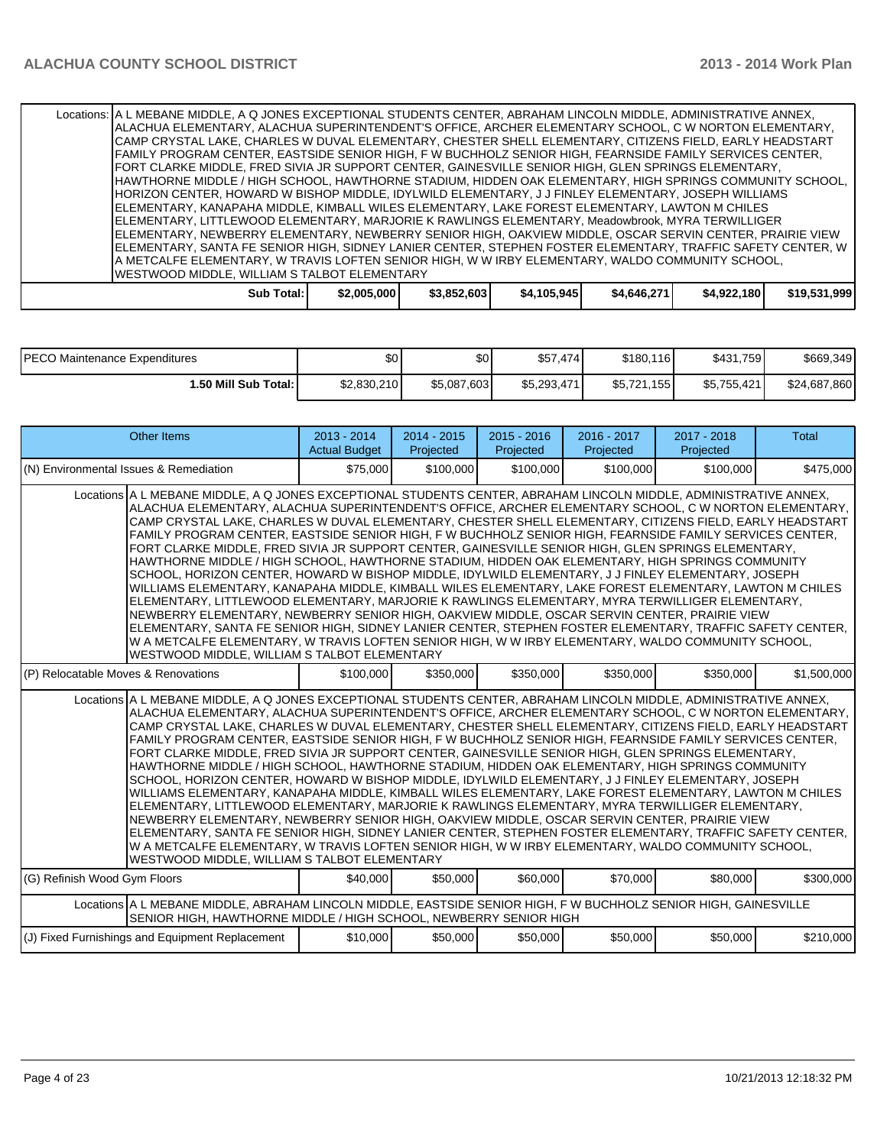|                                                                                                                                                          | Locations:  A L MEBANE MIDDLE, A Q JONES EXCEPTIONAL STUDENTS CENTER, ABRAHAM LINCOLN MIDDLE, ADMINISTRATIVE ANNEX,<br>ALACHUA ELEMENTARY, ALACHUA SUPERINTENDENT'S OFFICE, ARCHER ELEMENTARY SCHOOL, C W NORTON ELEMENTARY,<br>CAMP CRYSTAL LAKE, CHARLES W DUVAL ELEMENTARY, CHESTER SHELL ELEMENTARY, CITIZENS FIELD, EARLY HEADSTART |             |             |             |             |             |              |  |
|----------------------------------------------------------------------------------------------------------------------------------------------------------|------------------------------------------------------------------------------------------------------------------------------------------------------------------------------------------------------------------------------------------------------------------------------------------------------------------------------------------|-------------|-------------|-------------|-------------|-------------|--------------|--|
|                                                                                                                                                          | FAMILY PROGRAM CENTER, EASTSIDE SENIOR HIGH, F W BUCHHOLZ SENIOR HIGH, FEARNSIDE FAMILY SERVICES CENTER,<br>FORT CLARKE MIDDLE, FRED SIVIA JR SUPPORT CENTER, GAINESVILLE SENIOR HIGH, GLEN SPRINGS ELEMENTARY,                                                                                                                          |             |             |             |             |             |              |  |
|                                                                                                                                                          | HAWTHORNE MIDDLE / HIGH SCHOOL, HAWTHORNE STADIUM, HIDDEN OAK ELEMENTARY, HIGH SPRINGS COMMUNITY SCHOOL,<br>HORIZON CENTER, HOWARD W BISHOP MIDDLE, IDYLWILD ELEMENTARY, J J FINLEY ELEMENTARY, JOSEPH WILLIAMS                                                                                                                          |             |             |             |             |             |              |  |
|                                                                                                                                                          | IELEMENTARY. KANAPAHA MIDDLE. KIMBALL WILES ELEMENTARY. LAKE FOREST ELEMENTARY. LAWTON M CHILES<br>IELEMENTARY, LITTLEWOOD ELEMENTARY, MARJORIE K RAWLINGS ELEMENTARY, Meadowbrook, MYRA TERWILLIGER                                                                                                                                     |             |             |             |             |             |              |  |
|                                                                                                                                                          | ELEMENTARY, NEWBERRY ELEMENTARY, NEWBERRY SENIOR HIGH, OAKVIEW MIDDLE, OSCAR SERVIN CENTER, PRAIRIE VIEW<br> ELEMENTARY, SANTA FE SENIOR HIGH, SIDNEY LANIER CENTER, STEPHEN FOSTER ELEMENTARY, TRAFFIC SAFETY CENTER, W                                                                                                                 |             |             |             |             |             |              |  |
| A METCALFE ELEMENTARY, W TRAVIS LOFTEN SENIOR HIGH, W W IRBY ELEMENTARY, WALDO COMMUNITY SCHOOL,<br><b>IWESTWOOD MIDDLE, WILLIAM S TALBOT ELEMENTARY</b> |                                                                                                                                                                                                                                                                                                                                          |             |             |             |             |             |              |  |
|                                                                                                                                                          | Sub Total: I                                                                                                                                                                                                                                                                                                                             | \$2,005,000 | \$3,852,603 | \$4,105,945 | \$4,646,271 | \$4,922,180 | \$19,531,999 |  |

| <b>PECO Maintenance Expenditures</b> | \$0         | \$0         | \$57,474    | \$180,116            | \$431,759   | \$669.349    |
|--------------------------------------|-------------|-------------|-------------|----------------------|-------------|--------------|
| 1.50 Mill Sub Total: I               | \$2,830,210 | \$5,087,603 | \$5.293.471 | .155 l<br>$$5.721$ . | \$5,755,421 | \$24,687,860 |

| <b>Other Items</b>                                                                                                                                                                                                                                                                                                                                                                                                                                                                                                                                                                                                                                                                                                                                                                                                                                                                                                                                                                                                                                                                                                                                                                                                                                                                                                                                          | $2013 - 2014$<br><b>Actual Budget</b> | 2014 - 2015<br>Projected | $2015 - 2016$<br>Projected | 2016 - 2017<br>Projected | 2017 - 2018<br>Projected | Total       |  |  |
|-------------------------------------------------------------------------------------------------------------------------------------------------------------------------------------------------------------------------------------------------------------------------------------------------------------------------------------------------------------------------------------------------------------------------------------------------------------------------------------------------------------------------------------------------------------------------------------------------------------------------------------------------------------------------------------------------------------------------------------------------------------------------------------------------------------------------------------------------------------------------------------------------------------------------------------------------------------------------------------------------------------------------------------------------------------------------------------------------------------------------------------------------------------------------------------------------------------------------------------------------------------------------------------------------------------------------------------------------------------|---------------------------------------|--------------------------|----------------------------|--------------------------|--------------------------|-------------|--|--|
| (N) Environmental Issues & Remediation                                                                                                                                                                                                                                                                                                                                                                                                                                                                                                                                                                                                                                                                                                                                                                                                                                                                                                                                                                                                                                                                                                                                                                                                                                                                                                                      | \$75,000                              | \$100,000                | \$100,000                  | \$100,000                | \$100,000                | \$475,000   |  |  |
| Locations A L MEBANE MIDDLE, A Q JONES EXCEPTIONAL STUDENTS CENTER, ABRAHAM LINCOLN MIDDLE, ADMINISTRATIVE ANNEX,<br>ALACHUA ELEMENTARY, ALACHUA SUPERINTENDENT'S OFFICE, ARCHER ELEMENTARY SCHOOL, C W NORTON ELEMENTARY,<br>ICAMP CRYSTAL LAKE. CHARLES W DUVAL ELEMENTARY. CHESTER SHELL ELEMENTARY. CITIZENS FIELD. EARLY HEADSTART<br>FAMILY PROGRAM CENTER. EASTSIDE SENIOR HIGH. F W BUCHHOLZ SENIOR HIGH. FEARNSIDE FAMILY SERVICES CENTER.<br>FORT CLARKE MIDDLE, FRED SIVIA JR SUPPORT CENTER, GAINESVILLE SENIOR HIGH, GLEN SPRINGS ELEMENTARY,<br>HAWTHORNE MIDDLE / HIGH SCHOOL, HAWTHORNE STADIUM, HIDDEN OAK ELEMENTARY, HIGH SPRINGS COMMUNITY<br>SCHOOL, HORIZON CENTER, HOWARD W BISHOP MIDDLE, IDYLWILD ELEMENTARY, J J FINLEY ELEMENTARY, JOSEPH<br>WILLIAMS ELEMENTARY, KANAPAHA MIDDLE, KIMBALL WILES ELEMENTARY, LAKE FOREST ELEMENTARY, LAWTON M CHILES<br>ELEMENTARY, LITTLEWOOD ELEMENTARY, MARJORIE K RAWLINGS ELEMENTARY, MYRA TERWILLIGER ELEMENTARY,<br>NEWBERRY ELEMENTARY, NEWBERRY SENIOR HIGH, OAKVIEW MIDDLE, OSCAR SERVIN CENTER, PRAIRIE VIEW<br>ELEMENTARY, SANTA FE SENIOR HIGH, SIDNEY LANIER CENTER, STEPHEN FOSTER ELEMENTARY, TRAFFIC SAFETY CENTER,<br>W A METCALFE ELEMENTARY, W TRAVIS LOFTEN SENIOR HIGH, W W IRBY ELEMENTARY, WALDO COMMUNITY SCHOOL,<br>WESTWOOD MIDDLE, WILLIAM S TALBOT ELEMENTARY       |                                       |                          |                            |                          |                          |             |  |  |
| (P) Relocatable Moves & Renovations                                                                                                                                                                                                                                                                                                                                                                                                                                                                                                                                                                                                                                                                                                                                                                                                                                                                                                                                                                                                                                                                                                                                                                                                                                                                                                                         | \$100,000                             | \$350,000                | \$350,000                  | \$350,000                | \$350,000                | \$1,500,000 |  |  |
| Locations A L MEBANE MIDDLE, A Q JONES EXCEPTIONAL STUDENTS CENTER, ABRAHAM LINCOLN MIDDLE, ADMINISTRATIVE ANNEX,<br>ALACHUA ELEMENTARY, ALACHUA SUPERINTENDENT'S OFFICE, ARCHER ELEMENTARY SCHOOL, C W NORTON ELEMENTARY,<br>CAMP CRYSTAL LAKE, CHARLES W DUVAL ELEMENTARY, CHESTER SHELL ELEMENTARY, CITIZENS FIELD, EARLY HEADSTART<br>FAMILY PROGRAM CENTER, EASTSIDE SENIOR HIGH, F W BUCHHOLZ SENIOR HIGH, FEARNSIDE FAMILY SERVICES CENTER,<br>FORT CLARKE MIDDLE, FRED SIVIA JR SUPPORT CENTER, GAINESVILLE SENIOR HIGH, GLEN SPRINGS ELEMENTARY,<br>HAWTHORNE MIDDLE / HIGH SCHOOL, HAWTHORNE STADIUM, HIDDEN OAK ELEMENTARY, HIGH SPRINGS COMMUNITY<br>SCHOOL, HORIZON CENTER, HOWARD W BISHOP MIDDLE, IDYLWILD ELEMENTARY, J J FINLEY ELEMENTARY, JOSEPH<br>WILLIAMS ELEMENTARY, KANAPAHA MIDDLE, KIMBALL WILES ELEMENTARY, LAKE FOREST ELEMENTARY, LAWTON M CHILES<br>ELEMENTARY, LITTLEWOOD ELEMENTARY, MARJORIE K RAWLINGS ELEMENTARY, MYRA TERWILLIGER ELEMENTARY,<br>NEWBERRY ELEMENTARY, NEWBERRY SENIOR HIGH, OAKVIEW MIDDLE, OSCAR SERVIN CENTER, PRAIRIE VIEW<br>ELEMENTARY, SANTA FE SENIOR HIGH, SIDNEY LANIER CENTER, STEPHEN FOSTER ELEMENTARY, TRAFFIC SAFETY CENTER,<br>W A METCALFE ELEMENTARY, W TRAVIS LOFTEN SENIOR HIGH, W W IRBY ELEMENTARY, WALDO COMMUNITY SCHOOL,<br><b>WESTWOOD MIDDLE, WILLIAM S TALBOT ELEMENTARY</b> |                                       |                          |                            |                          |                          |             |  |  |
| (G) Refinish Wood Gym Floors                                                                                                                                                                                                                                                                                                                                                                                                                                                                                                                                                                                                                                                                                                                                                                                                                                                                                                                                                                                                                                                                                                                                                                                                                                                                                                                                | \$40,000                              | \$50,000                 | \$60,000                   | \$70,000                 | \$80,000                 | \$300,000   |  |  |
| Locations A L MEBANE MIDDLE, ABRAHAM LINCOLN MIDDLE, EASTSIDE SENIOR HIGH, F W BUCHHOLZ SENIOR HIGH, GAINESVILLE<br>SENIOR HIGH, HAWTHORNE MIDDLE / HIGH SCHOOL, NEWBERRY SENIOR HIGH                                                                                                                                                                                                                                                                                                                                                                                                                                                                                                                                                                                                                                                                                                                                                                                                                                                                                                                                                                                                                                                                                                                                                                       |                                       |                          |                            |                          |                          |             |  |  |
| (J) Fixed Furnishings and Equipment Replacement                                                                                                                                                                                                                                                                                                                                                                                                                                                                                                                                                                                                                                                                                                                                                                                                                                                                                                                                                                                                                                                                                                                                                                                                                                                                                                             | \$10,000                              | \$50,000                 | \$50,000                   | \$50,000                 | \$50,000                 | \$210,000   |  |  |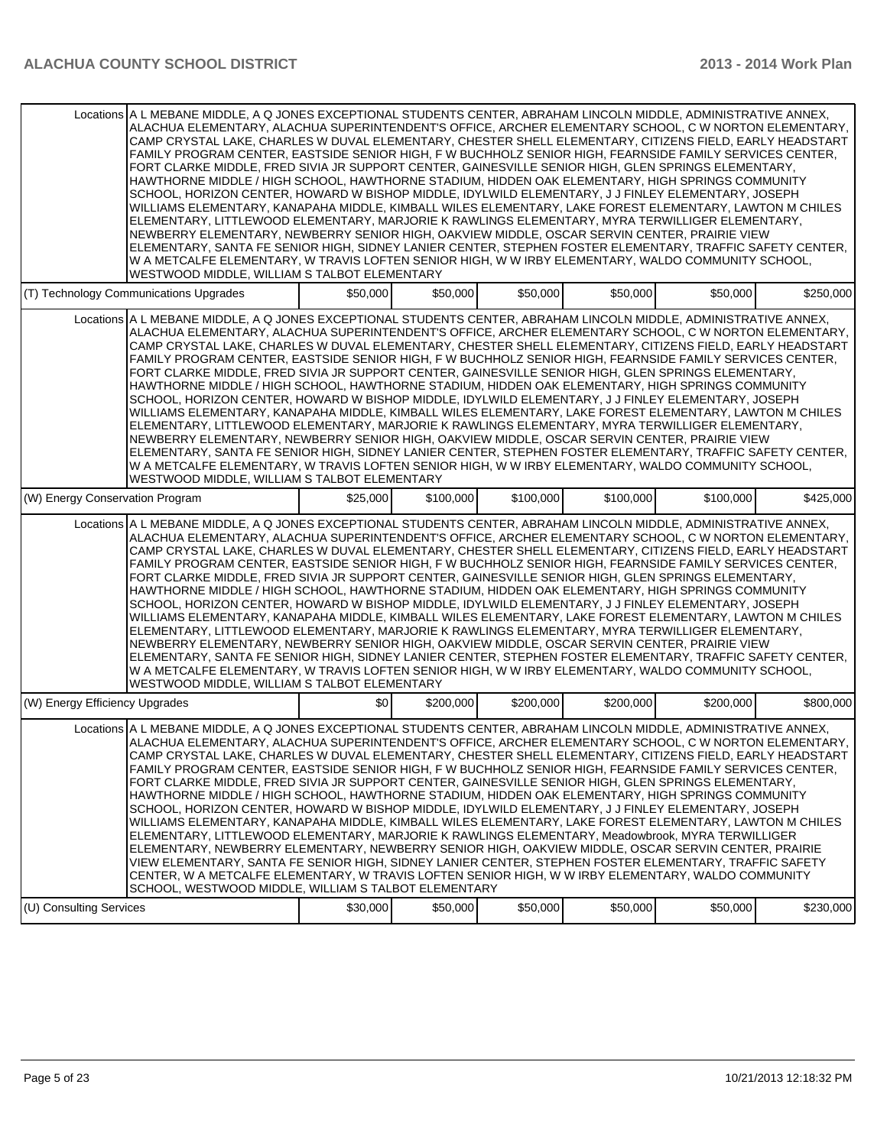| Locations A L MEBANE MIDDLE, A Q JONES EXCEPTIONAL STUDENTS CENTER, ABRAHAM LINCOLN MIDDLE, ADMINISTRATIVE ANNEX,<br>ALACHUA ELEMENTARY, ALACHUA SUPERINTENDENT'S OFFICE, ARCHER ELEMENTARY SCHOOL, C W NORTON ELEMENTARY,<br>CAMP CRYSTAL LAKE, CHARLES W DUVAL ELEMENTARY, CHESTER SHELL ELEMENTARY, CITIZENS FIELD, EARLY HEADSTART<br>FAMILY PROGRAM CENTER, EASTSIDE SENIOR HIGH, F W BUCHHOLZ SENIOR HIGH, FEARNSIDE FAMILY SERVICES CENTER,<br>FORT CLARKE MIDDLE, FRED SIVIA JR SUPPORT CENTER, GAINESVILLE SENIOR HIGH, GLEN SPRINGS ELEMENTARY,<br>HAWTHORNE MIDDLE / HIGH SCHOOL, HAWTHORNE STADIUM, HIDDEN OAK ELEMENTARY, HIGH SPRINGS COMMUNITY<br>SCHOOL, HORIZON CENTER, HOWARD W BISHOP MIDDLE, IDYLWILD ELEMENTARY, J J FINLEY ELEMENTARY, JOSEPH<br>WILLIAMS ELEMENTARY, KANAPAHA MIDDLE, KIMBALL WILES ELEMENTARY, LAKE FOREST ELEMENTARY, LAWTON M CHILES<br>ELEMENTARY, LITTLEWOOD ELEMENTARY, MARJORIE K RAWLINGS ELEMENTARY, MYRA TERWILLIGER ELEMENTARY,<br>NEWBERRY ELEMENTARY, NEWBERRY SENIOR HIGH, OAKVIEW MIDDLE, OSCAR SERVIN CENTER, PRAIRIE VIEW<br>ELEMENTARY, SANTA FE SENIOR HIGH, SIDNEY LANIER CENTER, STEPHEN FOSTER ELEMENTARY, TRAFFIC SAFETY CENTER,<br>W A METCALFE ELEMENTARY, W TRAVIS LOFTEN SENIOR HIGH, W W IRBY ELEMENTARY, WALDO COMMUNITY SCHOOL,<br>WESTWOOD MIDDLE, WILLIAM S TALBOT ELEMENTARY |          |           |           |           |           |           |
|------------------------------------------------------------------------------------------------------------------------------------------------------------------------------------------------------------------------------------------------------------------------------------------------------------------------------------------------------------------------------------------------------------------------------------------------------------------------------------------------------------------------------------------------------------------------------------------------------------------------------------------------------------------------------------------------------------------------------------------------------------------------------------------------------------------------------------------------------------------------------------------------------------------------------------------------------------------------------------------------------------------------------------------------------------------------------------------------------------------------------------------------------------------------------------------------------------------------------------------------------------------------------------------------------------------------------------------------------|----------|-----------|-----------|-----------|-----------|-----------|
| (T) Technology Communications Upgrades                                                                                                                                                                                                                                                                                                                                                                                                                                                                                                                                                                                                                                                                                                                                                                                                                                                                                                                                                                                                                                                                                                                                                                                                                                                                                                               | \$50,000 | \$50,000  | \$50,000  | \$50,000  | \$50,000  | \$250,000 |
| Locations A L MEBANE MIDDLE, A Q JONES EXCEPTIONAL STUDENTS CENTER, ABRAHAM LINCOLN MIDDLE, ADMINISTRATIVE ANNEX,<br>ALACHUA ELEMENTARY, ALACHUA SUPERINTENDENT'S OFFICE, ARCHER ELEMENTARY SCHOOL, C W NORTON ELEMENTARY,<br>CAMP CRYSTAL LAKE, CHARLES W DUVAL ELEMENTARY, CHESTER SHELL ELEMENTARY, CITIZENS FIELD, EARLY HEADSTART<br>FAMILY PROGRAM CENTER, EASTSIDE SENIOR HIGH, F W BUCHHOLZ SENIOR HIGH, FEARNSIDE FAMILY SERVICES CENTER,<br>FORT CLARKE MIDDLE, FRED SIVIA JR SUPPORT CENTER, GAINESVILLE SENIOR HIGH, GLEN SPRINGS ELEMENTARY,<br>HAWTHORNE MIDDLE / HIGH SCHOOL, HAWTHORNE STADIUM, HIDDEN OAK ELEMENTARY, HIGH SPRINGS COMMUNITY<br>SCHOOL. HORIZON CENTER. HOWARD W BISHOP MIDDLE. IDYLWILD ELEMENTARY. J J FINLEY ELEMENTARY. JOSEPH<br>WILLIAMS ELEMENTARY, KANAPAHA MIDDLE, KIMBALL WILES ELEMENTARY, LAKE FOREST ELEMENTARY, LAWTON M CHILES<br>ELEMENTARY, LITTLEWOOD ELEMENTARY, MARJORIE K RAWLINGS ELEMENTARY, MYRA TERWILLIGER ELEMENTARY,<br>NEWBERRY ELEMENTARY, NEWBERRY SENIOR HIGH, OAKVIEW MIDDLE, OSCAR SERVIN CENTER, PRAIRIE VIEW<br>ELEMENTARY, SANTA FE SENIOR HIGH, SIDNEY LANIER CENTER, STEPHEN FOSTER ELEMENTARY, TRAFFIC SAFETY CENTER,<br>W A METCALFE ELEMENTARY, W TRAVIS LOFTEN SENIOR HIGH, W W IRBY ELEMENTARY, WALDO COMMUNITY SCHOOL,<br>WESTWOOD MIDDLE, WILLIAM S TALBOT ELEMENTARY |          |           |           |           |           |           |
| (W) Energy Conservation Program                                                                                                                                                                                                                                                                                                                                                                                                                                                                                                                                                                                                                                                                                                                                                                                                                                                                                                                                                                                                                                                                                                                                                                                                                                                                                                                      | \$25,000 | \$100,000 | \$100,000 | \$100,000 | \$100,000 | \$425,000 |
| Locations A L MEBANE MIDDLE, A Q JONES EXCEPTIONAL STUDENTS CENTER, ABRAHAM LINCOLN MIDDLE, ADMINISTRATIVE ANNEX,<br>ALACHUA ELEMENTARY, ALACHUA SUPERINTENDENT'S OFFICE, ARCHER ELEMENTARY SCHOOL, C W NORTON ELEMENTARY,<br>CAMP CRYSTAL LAKE, CHARLES W DUVAL ELEMENTARY, CHESTER SHELL ELEMENTARY, CITIZENS FIELD, EARLY HEADSTART<br>FAMILY PROGRAM CENTER, EASTSIDE SENIOR HIGH, F W BUCHHOLZ SENIOR HIGH, FEARNSIDE FAMILY SERVICES CENTER,<br>FORT CLARKE MIDDLE, FRED SIVIA JR SUPPORT CENTER, GAINESVILLE SENIOR HIGH, GLEN SPRINGS ELEMENTARY,<br>HAWTHORNE MIDDLE / HIGH SCHOOL, HAWTHORNE STADIUM, HIDDEN OAK ELEMENTARY, HIGH SPRINGS COMMUNITY<br>SCHOOL, HORIZON CENTER, HOWARD W BISHOP MIDDLE, IDYLWILD ELEMENTARY, J J FINLEY ELEMENTARY, JOSEPH<br>WILLIAMS ELEMENTARY, KANAPAHA MIDDLE, KIMBALL WILES ELEMENTARY, LAKE FOREST ELEMENTARY, LAWTON M CHILES<br>ELEMENTARY, LITTLEWOOD ELEMENTARY, MARJORIE K RAWLINGS ELEMENTARY, MYRA TERWILLIGER ELEMENTARY,<br>NEWBERRY ELEMENTARY, NEWBERRY SENIOR HIGH, OAKVIEW MIDDLE, OSCAR SERVIN CENTER, PRAIRIE VIEW<br>ELEMENTARY, SANTA FE SENIOR HIGH, SIDNEY LANIER CENTER, STEPHEN FOSTER ELEMENTARY, TRAFFIC SAFETY CENTER,<br>W A METCALFE ELEMENTARY, W TRAVIS LOFTEN SENIOR HIGH, W W IRBY ELEMENTARY, WALDO COMMUNITY SCHOOL,<br>WESTWOOD MIDDLE, WILLIAM S TALBOT ELEMENTARY |          |           |           |           |           |           |
| (W) Energy Efficiency Upgrades                                                                                                                                                                                                                                                                                                                                                                                                                                                                                                                                                                                                                                                                                                                                                                                                                                                                                                                                                                                                                                                                                                                                                                                                                                                                                                                       | \$0      | \$200,000 | \$200,000 | \$200,000 | \$200,000 | \$800,000 |
| Locations A L MEBANE MIDDLE, A Q JONES EXCEPTIONAL STUDENTS CENTER, ABRAHAM LINCOLN MIDDLE, ADMINISTRATIVE ANNEX,<br>ALACHUA ELEMENTARY, ALACHUA SUPERINTENDENT'S OFFICE, ARCHER ELEMENTARY SCHOOL, C W NORTON ELEMENTARY,<br>CAMP CRYSTAL LAKE, CHARLES W DUVAL ELEMENTARY, CHESTER SHELL ELEMENTARY, CITIZENS FIELD, EARLY HEADSTART<br>FAMILY PROGRAM CENTER, EASTSIDE SENIOR HIGH, F W BUCHHOLZ SENIOR HIGH, FEARNSIDE FAMILY SERVICES CENTER,<br>FORT CLARKE MIDDLE, FRED SIVIA JR SUPPORT CENTER, GAINESVILLE SENIOR HIGH, GLEN SPRINGS ELEMENTARY,<br>HAWTHORNE MIDDLE / HIGH SCHOOL, HAWTHORNE STADIUM, HIDDEN OAK ELEMENTARY, HIGH SPRINGS COMMUNITY<br>SCHOOL, HORIZON CENTER, HOWARD W BISHOP MIDDLE, IDYLWILD ELEMENTARY, J J FINLEY ELEMENTARY, JOSEPH<br>WILLIAMS ELEMENTARY, KANAPAHA MIDDLE, KIMBALL WILES ELEMENTARY, LAKE FOREST ELEMENTARY, LAWTON M CHILES<br>ELEMENTARY, LITTLEWOOD ELEMENTARY, MARJORIE K RAWLINGS ELEMENTARY, Meadowbrook, MYRA TERWILLIGER<br>ELEMENTARY, NEWBERRY ELEMENTARY, NEWBERRY SENIOR HIGH, OAKVIEW MIDDLE, OSCAR SERVIN CENTER, PRAIRIE<br>VIEW ELEMENTARY, SANTA FE SENIOR HIGH, SIDNEY LANIER CENTER, STEPHEN FOSTER ELEMENTARY, TRAFFIC SAFETY<br>CENTER, W A METCALFE ELEMENTARY, W TRAVIS LOFTEN SENIOR HIGH, W W IRBY ELEMENTARY, WALDO COMMUNITY                                            |          |           |           |           |           |           |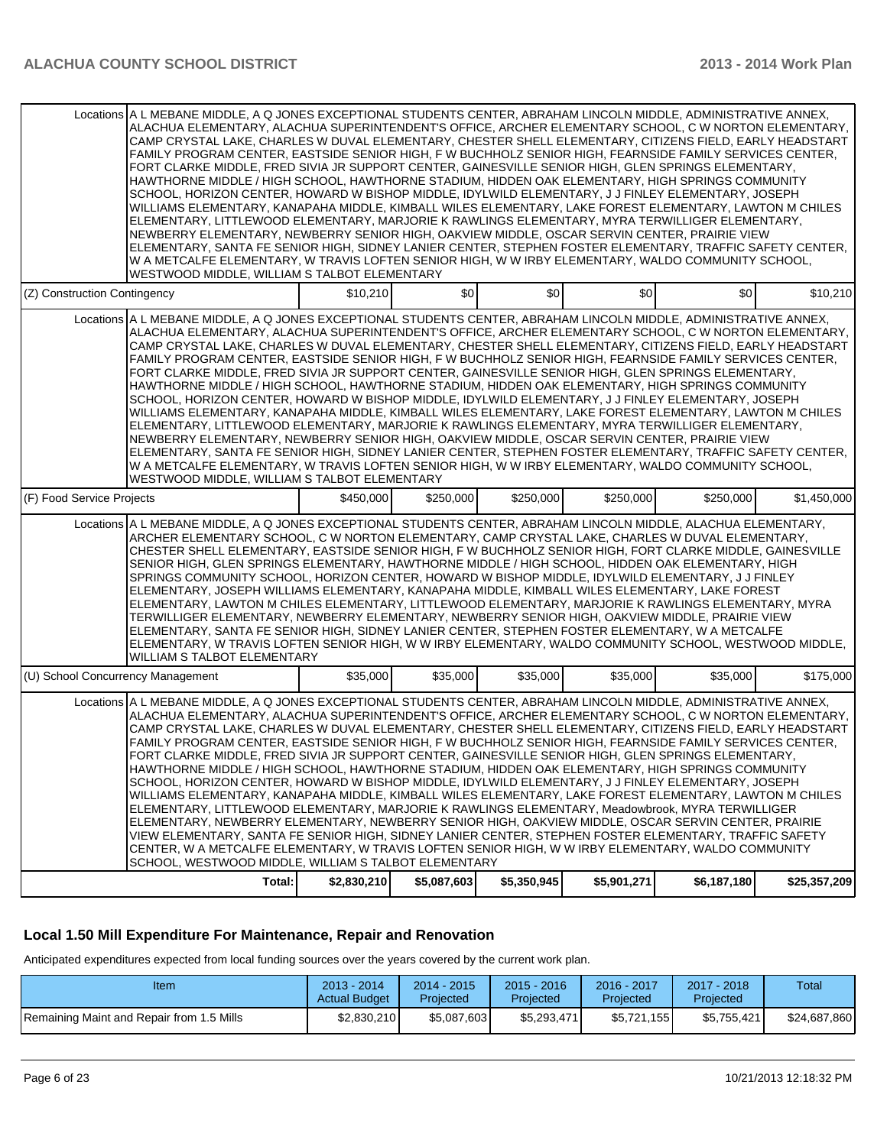|                                   | Locations A L MEBANE MIDDLE, A Q JONES EXCEPTIONAL STUDENTS CENTER, ABRAHAM LINCOLN MIDDLE, ADMINISTRATIVE ANNEX,<br>ALACHUA ELEMENTARY, ALACHUA SUPERINTENDENT'S OFFICE, ARCHER ELEMENTARY SCHOOL, C W NORTON ELEMENTARY,<br>CAMP CRYSTAL LAKE, CHARLES W DUVAL ELEMENTARY, CHESTER SHELL ELEMENTARY, CITIZENS FIELD, EARLY HEADSTART<br>FAMILY PROGRAM CENTER, EASTSIDE SENIOR HIGH, F W BUCHHOLZ SENIOR HIGH, FEARNSIDE FAMILY SERVICES CENTER,<br>FORT CLARKE MIDDLE, FRED SIVIA JR SUPPORT CENTER, GAINESVILLE SENIOR HIGH, GLEN SPRINGS ELEMENTARY,<br>HAWTHORNE MIDDLE / HIGH SCHOOL, HAWTHORNE STADIUM, HIDDEN OAK ELEMENTARY, HIGH SPRINGS COMMUNITY<br>SCHOOL, HORIZON CENTER, HOWARD W BISHOP MIDDLE, IDYLWILD ELEMENTARY, J J FINLEY ELEMENTARY, JOSEPH<br>WILLIAMS ELEMENTARY, KANAPAHA MIDDLE, KIMBALL WILES ELEMENTARY, LAKE FOREST ELEMENTARY, LAWTON M CHILES<br>ELEMENTARY, LITTLEWOOD ELEMENTARY, MARJORIE K RAWLINGS ELEMENTARY, MYRA TERWILLIGER ELEMENTARY,<br>NEWBERRY ELEMENTARY, NEWBERRY SENIOR HIGH, OAKVIEW MIDDLE, OSCAR SERVIN CENTER, PRAIRIE VIEW<br>ELEMENTARY, SANTA FE SENIOR HIGH, SIDNEY LANIER CENTER, STEPHEN FOSTER ELEMENTARY, TRAFFIC SAFETY CENTER,<br>W A METCALFE ELEMENTARY, W TRAVIS LOFTEN SENIOR HIGH, W W IRBY ELEMENTARY, WALDO COMMUNITY SCHOOL,<br>WESTWOOD MIDDLE, WILLIAM S TALBOT ELEMENTARY                        |             |                |             |             |             |              |
|-----------------------------------|-----------------------------------------------------------------------------------------------------------------------------------------------------------------------------------------------------------------------------------------------------------------------------------------------------------------------------------------------------------------------------------------------------------------------------------------------------------------------------------------------------------------------------------------------------------------------------------------------------------------------------------------------------------------------------------------------------------------------------------------------------------------------------------------------------------------------------------------------------------------------------------------------------------------------------------------------------------------------------------------------------------------------------------------------------------------------------------------------------------------------------------------------------------------------------------------------------------------------------------------------------------------------------------------------------------------------------------------------------------------------------|-------------|----------------|-------------|-------------|-------------|--------------|
| (Z) Construction Contingency      |                                                                                                                                                                                                                                                                                                                                                                                                                                                                                                                                                                                                                                                                                                                                                                                                                                                                                                                                                                                                                                                                                                                                                                                                                                                                                                                                                                             | \$10.210    | $\frac{1}{20}$ | \$0         | \$0         | \$0         | \$10,210     |
|                                   | Locations A L MEBANE MIDDLE, A Q JONES EXCEPTIONAL STUDENTS CENTER, ABRAHAM LINCOLN MIDDLE, ADMINISTRATIVE ANNEX,<br>ALACHUA ELEMENTARY, ALACHUA SUPERINTENDENT'S OFFICE, ARCHER ELEMENTARY SCHOOL, C W NORTON ELEMENTARY,<br>CAMP CRYSTAL LAKE, CHARLES W DUVAL ELEMENTARY, CHESTER SHELL ELEMENTARY, CITIZENS FIELD, EARLY HEADSTART<br>FAMILY PROGRAM CENTER, EASTSIDE SENIOR HIGH, F W BUCHHOLZ SENIOR HIGH, FEARNSIDE FAMILY SERVICES CENTER,<br>FORT CLARKE MIDDLE, FRED SIVIA JR SUPPORT CENTER, GAINESVILLE SENIOR HIGH, GLEN SPRINGS ELEMENTARY,<br>HAWTHORNE MIDDLE / HIGH SCHOOL, HAWTHORNE STADIUM, HIDDEN OAK ELEMENTARY, HIGH SPRINGS COMMUNITY<br>SCHOOL, HORIZON CENTER, HOWARD W BISHOP MIDDLE, IDYLWILD ELEMENTARY, J J FINLEY ELEMENTARY, JOSEPH<br>WILLIAMS ELEMENTARY, KANAPAHA MIDDLE, KIMBALL WILES ELEMENTARY, LAKE FOREST ELEMENTARY, LAWTON M CHILES<br>ELEMENTARY, LITTLEWOOD ELEMENTARY, MARJORIE K RAWLINGS ELEMENTARY, MYRA TERWILLIGER ELEMENTARY,<br>NEWBERRY ELEMENTARY, NEWBERRY SENIOR HIGH, OAKVIEW MIDDLE, OSCAR SERVIN CENTER, PRAIRIE VIEW<br>ELEMENTARY, SANTA FE SENIOR HIGH, SIDNEY LANIER CENTER, STEPHEN FOSTER ELEMENTARY, TRAFFIC SAFETY CENTER,<br>W A METCALFE ELEMENTARY, W TRAVIS LOFTEN SENIOR HIGH, W W IRBY ELEMENTARY, WALDO COMMUNITY SCHOOL,<br>WESTWOOD MIDDLE, WILLIAM S TALBOT ELEMENTARY                        |             |                |             |             |             |              |
| (F) Food Service Projects         |                                                                                                                                                                                                                                                                                                                                                                                                                                                                                                                                                                                                                                                                                                                                                                                                                                                                                                                                                                                                                                                                                                                                                                                                                                                                                                                                                                             | \$450,000   | \$250,000      | \$250,000   | \$250,000   | \$250,000   | \$1,450,000  |
|                                   | Locations A L MEBANE MIDDLE, A Q JONES EXCEPTIONAL STUDENTS CENTER, ABRAHAM LINCOLN MIDDLE, ALACHUA ELEMENTARY,<br>ARCHER ELEMENTARY SCHOOL, C W NORTON ELEMENTARY, CAMP CRYSTAL LAKE, CHARLES W DUVAL ELEMENTARY,<br>CHESTER SHELL ELEMENTARY, EASTSIDE SENIOR HIGH, F W BUCHHOLZ SENIOR HIGH, FORT CLARKE MIDDLE, GAINESVILLE<br>SENIOR HIGH, GLEN SPRINGS ELEMENTARY, HAWTHORNE MIDDLE / HIGH SCHOOL, HIDDEN OAK ELEMENTARY, HIGH<br>SPRINGS COMMUNITY SCHOOL, HORIZON CENTER, HOWARD W BISHOP MIDDLE, IDYLWILD ELEMENTARY, J J FINLEY<br>ELEMENTARY, JOSEPH WILLIAMS ELEMENTARY, KANAPAHA MIDDLE, KIMBALL WILES ELEMENTARY, LAKE FOREST<br>ELEMENTARY, LAWTON M CHILES ELEMENTARY, LITTLEWOOD ELEMENTARY, MARJORIE K RAWLINGS ELEMENTARY, MYRA<br>TERWILLIGER ELEMENTARY, NEWBERRY ELEMENTARY, NEWBERRY SENIOR HIGH, OAKVIEW MIDDLE, PRAIRIE VIEW<br>ELEMENTARY, SANTA FE SENIOR HIGH, SIDNEY LANIER CENTER, STEPHEN FOSTER ELEMENTARY, W A METCALFE<br>ELEMENTARY, W TRAVIS LOFTEN SENIOR HIGH, W W IRBY ELEMENTARY, WALDO COMMUNITY SCHOOL, WESTWOOD MIDDLE,<br><b>WILLIAM S TALBOT ELEMENTARY</b>                                                                                                                                                                                                                                                                    |             |                |             |             |             |              |
| (U) School Concurrency Management |                                                                                                                                                                                                                                                                                                                                                                                                                                                                                                                                                                                                                                                                                                                                                                                                                                                                                                                                                                                                                                                                                                                                                                                                                                                                                                                                                                             | \$35,000    | \$35,000       | \$35,000    | \$35,000    | \$35,000    | \$175,000    |
|                                   | Locations A L MEBANE MIDDLE, A Q JONES EXCEPTIONAL STUDENTS CENTER, ABRAHAM LINCOLN MIDDLE, ADMINISTRATIVE ANNEX,<br>ALACHUA ELEMENTARY, ALACHUA SUPERINTENDENT'S OFFICE, ARCHER ELEMENTARY SCHOOL, C W NORTON ELEMENTARY,<br>CAMP CRYSTAL LAKE, CHARLES W DUVAL ELEMENTARY, CHESTER SHELL ELEMENTARY, CITIZENS FIELD, EARLY HEADSTART<br>FAMILY PROGRAM CENTER, EASTSIDE SENIOR HIGH, F W BUCHHOLZ SENIOR HIGH, FEARNSIDE FAMILY SERVICES CENTER,<br>FORT CLARKE MIDDLE, FRED SIVIA JR SUPPORT CENTER, GAINESVILLE SENIOR HIGH, GLEN SPRINGS ELEMENTARY,<br>HAWTHORNE MIDDLE / HIGH SCHOOL, HAWTHORNE STADIUM, HIDDEN OAK ELEMENTARY, HIGH SPRINGS COMMUNITY<br>SCHOOL, HORIZON CENTER, HOWARD W BISHOP MIDDLE, IDYLWILD ELEMENTARY, J J FINLEY ELEMENTARY, JOSEPH<br>WILLIAMS ELEMENTARY, KANAPAHA MIDDLE, KIMBALL WILES ELEMENTARY, LAKE FOREST ELEMENTARY, LAWTON M CHILES<br>ELEMENTARY, LITTLEWOOD ELEMENTARY, MARJORIE K RAWLINGS ELEMENTARY, Meadowbrook, MYRA TERWILLIGER<br>ELEMENTARY, NEWBERRY ELEMENTARY, NEWBERRY SENIOR HIGH, OAKVIEW MIDDLE, OSCAR SERVIN CENTER, PRAIRIE<br>VIEW ELEMENTARY, SANTA FE SENIOR HIGH, SIDNEY LANIER CENTER, STEPHEN FOSTER ELEMENTARY, TRAFFIC SAFETY<br>CENTER, W A METCALFE ELEMENTARY, W TRAVIS LOFTEN SENIOR HIGH, W W IRBY ELEMENTARY, WALDO COMMUNITY<br>SCHOOL, WESTWOOD MIDDLE, WILLIAM S TALBOT ELEMENTARY<br>Total: | \$2,830,210 | \$5,087,603    | \$5,350,945 | \$5,901,271 | \$6,187,180 | \$25,357,209 |

# **Local 1.50 Mill Expenditure For Maintenance, Repair and Renovation**

Anticipated expenditures expected from local funding sources over the years covered by the current work plan.

| Item                                      | $2013 - 2014$<br><b>Actual Budget</b> | 2014 - 2015<br>Projected | $2015 - 2016$<br>Projected | 2016 - 2017<br>Projected | $2017 - 2018$<br>Projected | Total        |
|-------------------------------------------|---------------------------------------|--------------------------|----------------------------|--------------------------|----------------------------|--------------|
| Remaining Maint and Repair from 1.5 Mills | \$2,830,210                           | \$5,087,603              | \$5.293.471                | \$5.721.155              | \$5,755,421                | \$24,687,860 |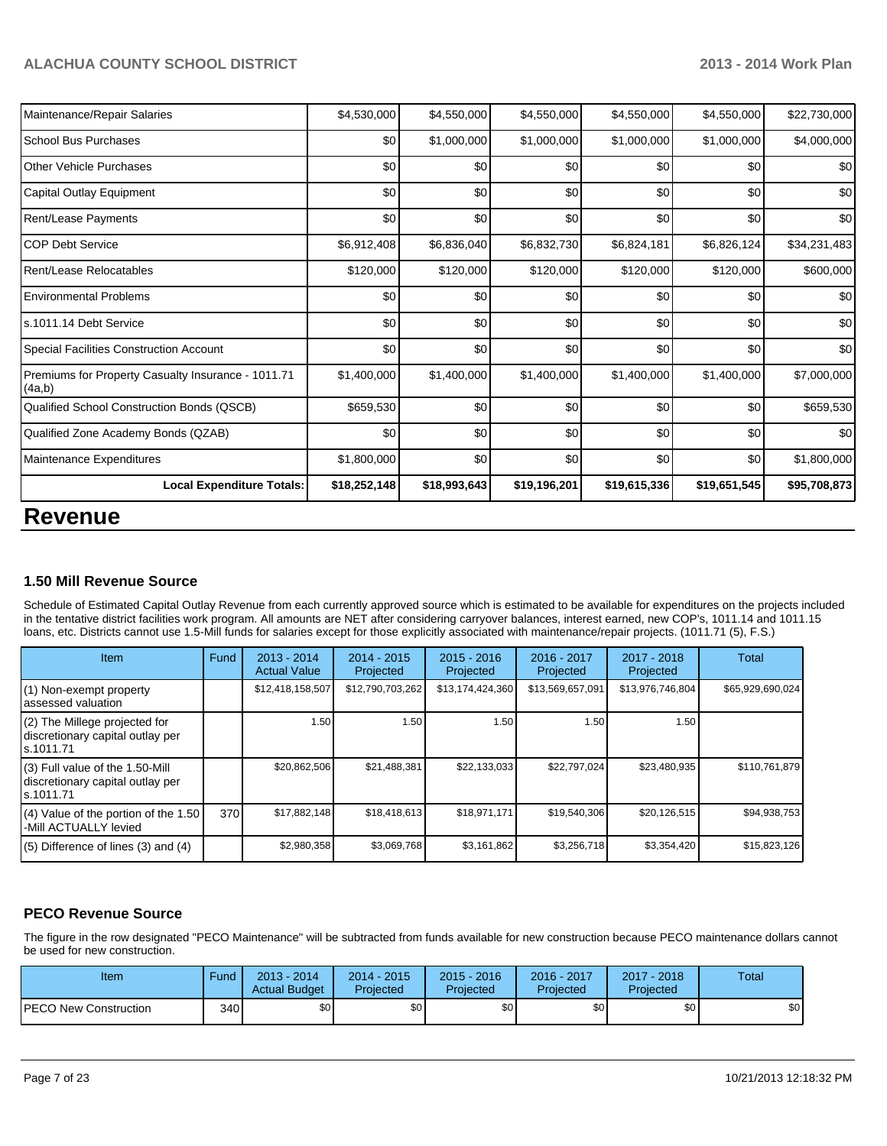| <b>Revenue</b>                                               |              |              |              |              |              |              |  |  |  |  |
|--------------------------------------------------------------|--------------|--------------|--------------|--------------|--------------|--------------|--|--|--|--|
| <b>Local Expenditure Totals:</b>                             | \$18,252,148 | \$18,993,643 | \$19,196,201 | \$19,615,336 | \$19,651,545 | \$95,708,873 |  |  |  |  |
| Maintenance Expenditures                                     | \$1,800,000  | \$0          | \$0          | \$0          | \$0          | \$1,800,000  |  |  |  |  |
| Qualified Zone Academy Bonds (QZAB)                          | \$0          | \$0          | \$0          | \$0          | \$0          | \$0          |  |  |  |  |
| Qualified School Construction Bonds (QSCB)                   | \$659,530    | \$0          | \$0          | \$0          | \$0          | \$659,530    |  |  |  |  |
| Premiums for Property Casualty Insurance - 1011.71<br>(4a,b) | \$1,400,000  | \$1,400,000  | \$1,400,000  | \$1,400,000  | \$1,400,000  | \$7,000,000  |  |  |  |  |
| Special Facilities Construction Account                      | \$0          | \$0          | \$0          | \$0          | \$0          | \$0          |  |  |  |  |
| ls.1011.14 Debt Service                                      | \$0          | \$0          | \$0          | \$0          | \$0          | \$0          |  |  |  |  |
| <b>Environmental Problems</b>                                | \$0          | \$0          | \$0          | \$0          | \$0          | \$0          |  |  |  |  |
| Rent/Lease Relocatables                                      | \$120,000    | \$120,000    | \$120,000    | \$120,000    | \$120,000    | \$600,000    |  |  |  |  |
| <b>COP Debt Service</b>                                      | \$6,912,408  | \$6,836,040  | \$6,832,730  | \$6,824,181  | \$6,826,124  | \$34,231,483 |  |  |  |  |
| <b>Rent/Lease Payments</b>                                   | \$0          | \$0          | \$0          | \$0          | \$0          | \$0          |  |  |  |  |
| Capital Outlay Equipment                                     | \$0          | \$0          | \$0          | \$0          | \$0          | \$0          |  |  |  |  |
| <b>Other Vehicle Purchases</b>                               | \$0          | \$0          | \$0          | \$0          | \$0          | \$0          |  |  |  |  |
| <b>School Bus Purchases</b>                                  | \$0          | \$1,000,000  | \$1,000,000  | \$1,000,000  | \$1,000,000  | \$4,000,000  |  |  |  |  |
| Maintenance/Repair Salaries                                  | \$4,530,000  | \$4,550,000  | \$4,550,000  | \$4,550,000  | \$4,550,000  | \$22,730,000 |  |  |  |  |

#### **1.50 Mill Revenue Source**

Schedule of Estimated Capital Outlay Revenue from each currently approved source which is estimated to be available for expenditures on the projects included in the tentative district facilities work program. All amounts are NET after considering carryover balances, interest earned, new COP's, 1011.14 and 1011.15 loans, etc. Districts cannot use 1.5-Mill funds for salaries except for those explicitly associated with maintenance/repair projects. (1011.71 (5), F.S.)

| <b>Item</b>                                                                         | Fund | 2013 - 2014<br><b>Actual Value</b> | 2014 - 2015<br>Projected | $2015 - 2016$<br>Projected | 2016 - 2017<br>Projected | 2017 - 2018<br>Projected | Total            |
|-------------------------------------------------------------------------------------|------|------------------------------------|--------------------------|----------------------------|--------------------------|--------------------------|------------------|
| (1) Non-exempt property<br>lassessed valuation                                      |      | \$12,418,158,507                   | \$12,790,703,262         | \$13,174,424,360           | \$13,569,657,091         | \$13,976,746,804         | \$65,929,690,024 |
| $(2)$ The Millege projected for<br>discretionary capital outlay per<br>ls.1011.71   |      | 1.50                               | 1.50                     | 1.50                       | 1.50                     | 1.50                     |                  |
| $(3)$ Full value of the 1.50-Mill<br>discretionary capital outlay per<br>ls.1011.71 |      | \$20,862,506                       | \$21,488,381             | \$22,133,033               | \$22,797,024             | \$23,480,935             | \$110,761,879    |
| (4) Value of the portion of the 1.50<br>I-Mill ACTUALLY levied                      | 370  | \$17,882,148                       | \$18,418,613             | \$18,971,171               | \$19,540,306             | \$20,126,515             | \$94,938,753     |
| $(5)$ Difference of lines $(3)$ and $(4)$                                           |      | \$2,980,358                        | \$3,069,768              | \$3,161,862                | \$3,256,718              | \$3,354,420              | \$15,823,126     |

#### **PECO Revenue Source**

The figure in the row designated "PECO Maintenance" will be subtracted from funds available for new construction because PECO maintenance dollars cannot be used for new construction.

| Item                          | <b>Fund</b> | $2013 - 2014$<br><b>Actual Budget</b> | $2014 - 2015$<br>Projected | $2015 - 2016$<br>Projected | 2016 - 2017<br>Projected | $2017 - 2018$<br>Projected | <b>Total</b> |
|-------------------------------|-------------|---------------------------------------|----------------------------|----------------------------|--------------------------|----------------------------|--------------|
| <b>IPECO New Construction</b> | 340 l       | \$0 <sub>1</sub>                      | \$0                        | \$0                        | \$0                      | \$0                        | \$0          |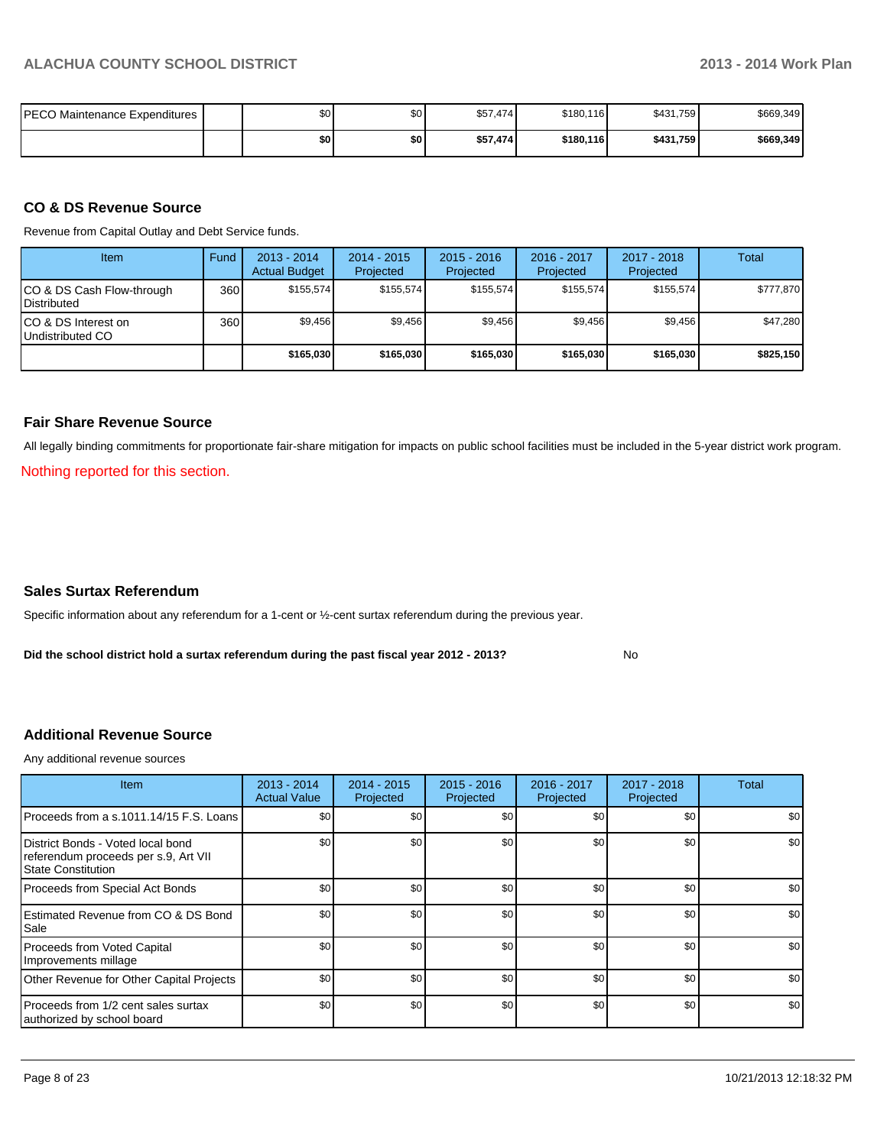| PECO Maintenance Expenditures I | \$0 <sub>1</sub> | ድስ<br>υŒ | \$57,474 | \$180,116 | \$431,759 | \$669,349 |
|---------------------------------|------------------|----------|----------|-----------|-----------|-----------|
|                                 | \$OI             | \$0      | \$57,474 | \$180,116 | \$431,759 | \$669,349 |

#### **CO & DS Revenue Source**

Revenue from Capital Outlay and Debt Service funds.

| Item                                               | Fund | $2013 - 2014$<br><b>Actual Budget</b> | $2014 - 2015$<br>Projected | $2015 - 2016$<br>Projected | $2016 - 2017$<br>Projected | $2017 - 2018$<br>Projected | Total     |
|----------------------------------------------------|------|---------------------------------------|----------------------------|----------------------------|----------------------------|----------------------------|-----------|
| ICO & DS Cash Flow-through<br><b>I</b> Distributed | 360  | \$155.574                             | \$155.574                  | \$155.574                  | \$155.574                  | \$155.574                  | \$777,870 |
| ICO & DS Interest on<br>Undistributed CO           | 360  | \$9,456                               | \$9,456                    | \$9.456                    | \$9.456                    | \$9,456                    | \$47,280  |
|                                                    |      | \$165,030                             | \$165,030                  | \$165,030                  | \$165,030                  | \$165,030                  | \$825,150 |

#### **Fair Share Revenue Source**

All legally binding commitments for proportionate fair-share mitigation for impacts on public school facilities must be included in the 5-year district work program.

Nothing reported for this section.

#### **Sales Surtax Referendum**

Specific information about any referendum for a 1-cent or ½-cent surtax referendum during the previous year.

**Did the school district hold a surtax referendum during the past fiscal year 2012 - 2013?**

No

#### **Additional Revenue Source**

Any additional revenue sources

| Item                                                                                            | $2013 - 2014$<br><b>Actual Value</b> | $2014 - 2015$<br>Projected | $2015 - 2016$<br>Projected | $2016 - 2017$<br>Projected | $2017 - 2018$<br>Projected | Total            |
|-------------------------------------------------------------------------------------------------|--------------------------------------|----------------------------|----------------------------|----------------------------|----------------------------|------------------|
| Proceeds from a s.1011.14/15 F.S. Loans                                                         | \$0                                  | \$0                        | \$0                        | \$0                        | \$0                        | \$0 <sub>1</sub> |
| District Bonds - Voted local bond<br>referendum proceeds per s.9, Art VII<br>State Constitution | \$0                                  | \$0                        | \$0                        | \$0                        | \$0                        | \$0              |
| Proceeds from Special Act Bonds                                                                 | \$0                                  | \$0                        | \$0                        | \$0                        | \$0                        | \$0              |
| <b>IEstimated Revenue from CO &amp; DS Bond</b><br>l Sale                                       | \$0                                  | \$0                        | \$0                        | \$0                        | \$0                        | \$0 <sub>1</sub> |
| Proceeds from Voted Capital<br>Improvements millage                                             | \$0                                  | \$0                        | \$0                        | \$0                        | \$0                        | \$0              |
| Other Revenue for Other Capital Projects                                                        | \$0                                  | \$0                        | \$0                        | \$0                        | \$0                        | \$0 <sub>1</sub> |
| Proceeds from 1/2 cent sales surtax<br>authorized by school board                               | \$0                                  | \$0                        | \$0                        | \$0                        | \$0                        | \$0 <sub>1</sub> |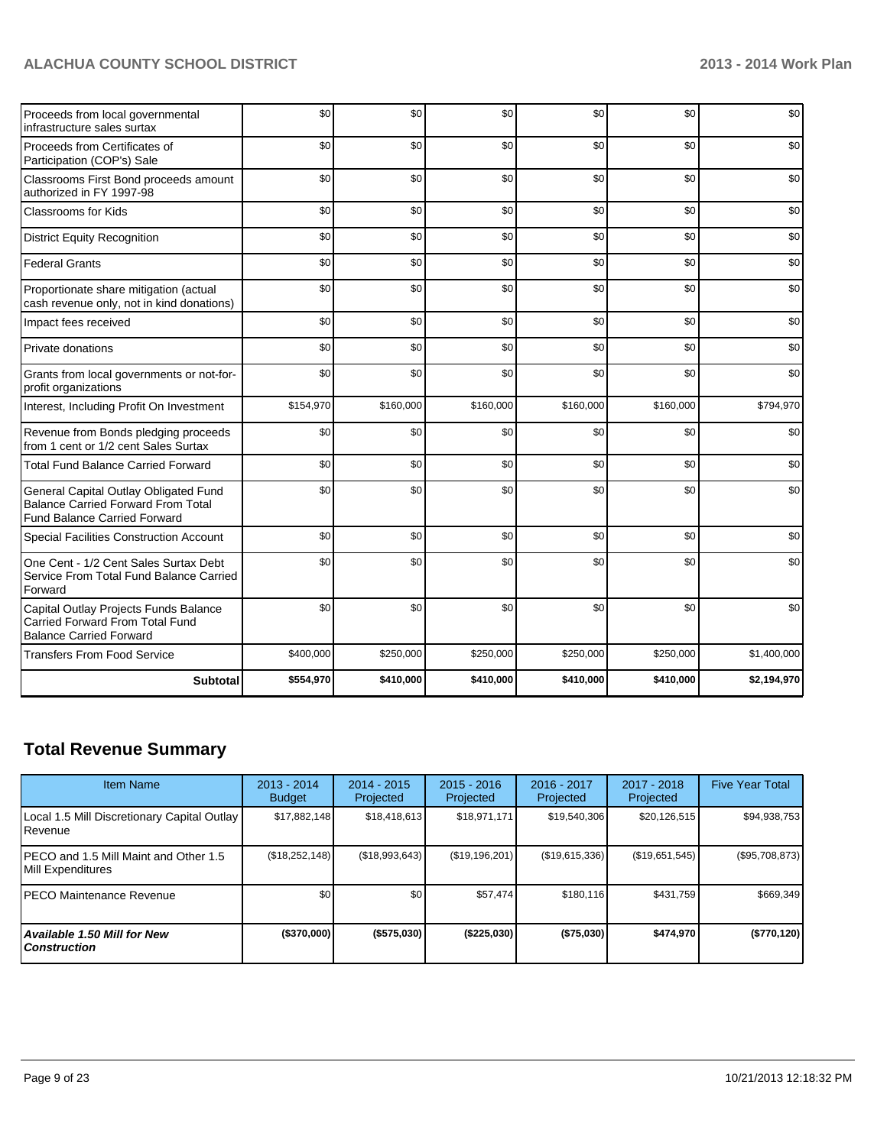| Proceeds from local governmental<br>infrastructure sales surtax                                                           | \$0       | \$0       | \$0       | \$0       | \$0       | \$0         |
|---------------------------------------------------------------------------------------------------------------------------|-----------|-----------|-----------|-----------|-----------|-------------|
| Proceeds from Certificates of<br>Participation (COP's) Sale                                                               | \$0       | \$0       | \$0       | \$0       | \$0       | \$0         |
| Classrooms First Bond proceeds amount<br>authorized in FY 1997-98                                                         | \$0       | \$0       | \$0       | \$0       | \$0       | \$0         |
| Classrooms for Kids                                                                                                       | \$0       | \$0       | \$0       | \$0       | \$0       | \$0         |
| <b>District Equity Recognition</b>                                                                                        | \$0       | \$0       | \$0       | \$0       | \$0       | \$0         |
| <b>Federal Grants</b>                                                                                                     | \$0       | \$0       | \$0       | \$0       | \$0       | \$0         |
| Proportionate share mitigation (actual<br>cash revenue only, not in kind donations)                                       | \$0       | \$0       | \$0       | \$0       | \$0       | \$0         |
| Impact fees received                                                                                                      | \$0       | \$0       | \$0       | \$0       | \$0       | \$0         |
| Private donations                                                                                                         | \$0       | \$0       | \$0       | \$0       | \$0       | \$0         |
| Grants from local governments or not-for-<br>profit organizations                                                         | \$0       | \$0       | \$0       | \$0       | \$0       | \$0         |
| Interest, Including Profit On Investment                                                                                  | \$154,970 | \$160,000 | \$160,000 | \$160,000 | \$160,000 | \$794,970   |
| Revenue from Bonds pledging proceeds<br>from 1 cent or 1/2 cent Sales Surtax                                              | \$0       | \$0       | \$0       | \$0       | \$0       | \$0         |
| <b>Total Fund Balance Carried Forward</b>                                                                                 | \$0       | \$0       | \$0       | \$0       | \$0       | \$0         |
| General Capital Outlay Obligated Fund<br><b>Balance Carried Forward From Total</b><br><b>Fund Balance Carried Forward</b> | \$0       | \$0       | \$0       | \$0       | \$0       | \$0         |
| Special Facilities Construction Account                                                                                   | \$0       | \$0       | \$0       | \$0       | \$0       | \$0         |
| One Cent - 1/2 Cent Sales Surtax Debt<br>Service From Total Fund Balance Carried<br>Forward                               | \$0       | \$0       | \$0       | \$0       | \$0       | \$0         |
| Capital Outlay Projects Funds Balance<br><b>Carried Forward From Total Fund</b><br><b>Balance Carried Forward</b>         | \$0       | \$0       | \$0       | \$0       | \$0       | \$0         |
| <b>Transfers From Food Service</b>                                                                                        | \$400,000 | \$250,000 | \$250,000 | \$250,000 | \$250,000 | \$1,400,000 |
| <b>Subtotal</b>                                                                                                           | \$554,970 | \$410,000 | \$410,000 | \$410,000 | \$410,000 | \$2,194,970 |

# **Total Revenue Summary**

| <b>Item Name</b>                                            | $2013 - 2014$<br><b>Budget</b> | 2014 - 2015<br>Projected | $2015 - 2016$<br>Projected | 2016 - 2017<br>Projected | $2017 - 2018$<br>Projected | <b>Five Year Total</b> |
|-------------------------------------------------------------|--------------------------------|--------------------------|----------------------------|--------------------------|----------------------------|------------------------|
| Local 1.5 Mill Discretionary Capital Outlay<br>Revenue      | \$17,882,148                   | \$18.418.613             | \$18,971,171               | \$19,540,306             | \$20,126,515               | \$94,938,753           |
| IPECO and 1.5 Mill Maint and Other 1.5<br>Mill Expenditures | (\$18,252,148)                 | (\$18,993,643)           | (\$19,196,201)             | (S19, 615, 336)          | (\$19,651,545)             | (\$95,708,873)         |
| IPECO Maintenance Revenue                                   | \$0                            | \$0                      | \$57.474                   | \$180, 116               | \$431,759                  | \$669,349              |
| Available 1.50 Mill for New<br><b>Construction</b>          | $($ \$370,000)                 | $($ \$575,030)           | (\$225,030)                | ( \$75,030]              | \$474.970                  | (\$770, 120)           |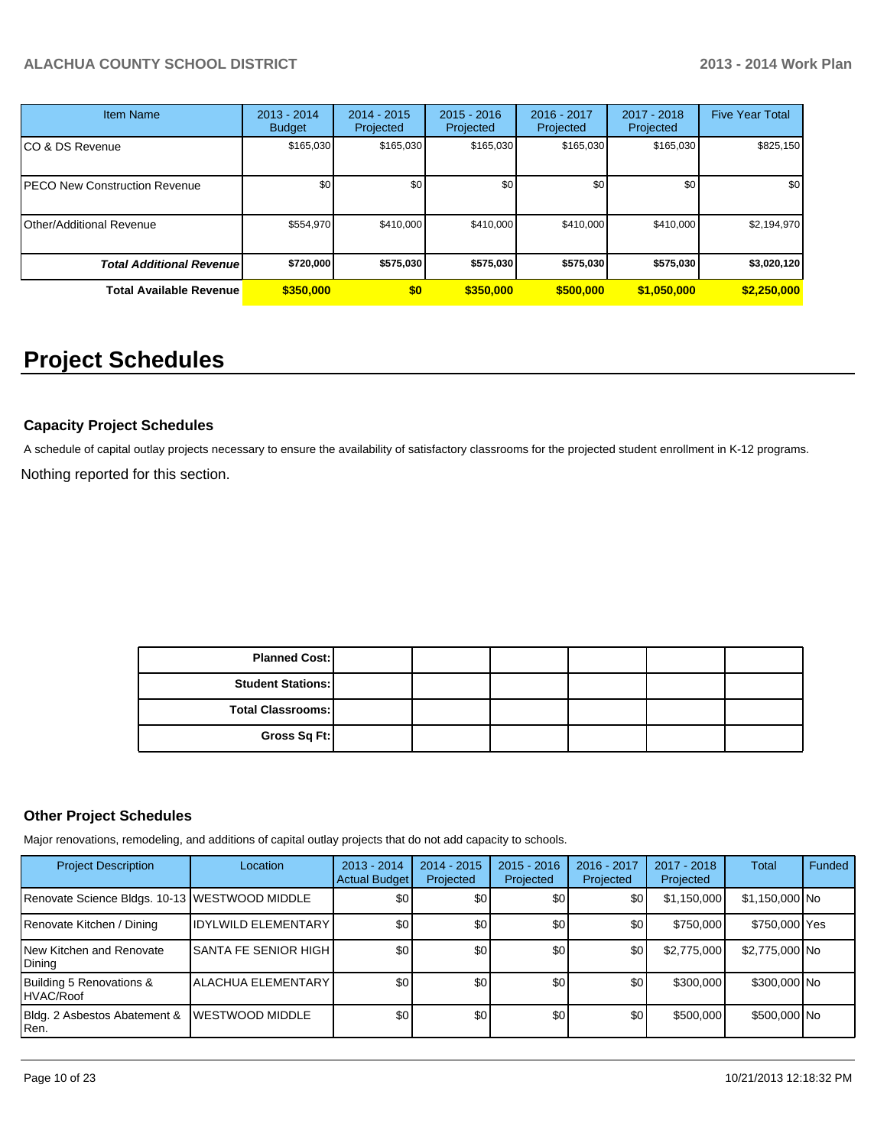| <b>Item Name</b>                 | 2013 - 2014<br><b>Budget</b> | 2014 - 2015<br>Projected | $2015 - 2016$<br>Projected | 2016 - 2017<br>Projected | 2017 - 2018<br>Projected | <b>Five Year Total</b> |
|----------------------------------|------------------------------|--------------------------|----------------------------|--------------------------|--------------------------|------------------------|
| CO & DS Revenue                  | \$165,030                    | \$165,030                | \$165,030                  | \$165,030                | \$165,030                | \$825,150              |
| PECO New Construction Revenue    | \$0                          | \$0 <sub>1</sub>         | \$0                        | \$0                      | \$0                      | \$0                    |
| Other/Additional Revenue         | \$554,970                    | \$410,000                | \$410,000                  | \$410,000                | \$410,000                | \$2,194,970            |
| <b>Total Additional Revenuel</b> | \$720,000                    | \$575,030                | \$575,030                  | \$575,030                | \$575,030                | \$3,020,120            |
| <b>Total Available Revenue</b>   | \$350,000                    | \$0                      | \$350,000                  | \$500,000                | \$1,050,000              | \$2,250,000            |

# **Project Schedules**

### **Capacity Project Schedules**

Nothing reported for this section. A schedule of capital outlay projects necessary to ensure the availability of satisfactory classrooms for the projected student enrollment in K-12 programs.

| <b>Planned Cost:</b>     |  |  |  |
|--------------------------|--|--|--|
| <b>Student Stations:</b> |  |  |  |
| <b>Total Classrooms:</b> |  |  |  |
| Gross Sq Ft:             |  |  |  |

#### **Other Project Schedules**

Major renovations, remodeling, and additions of capital outlay projects that do not add capacity to schools.

| <b>Project Description</b>                    | Location                   | $2013 - 2014$<br><b>Actual Budget</b> | $2014 - 2015$<br>Projected | $2015 - 2016$<br>Projected | 2016 - 2017<br>Projected | $2017 - 2018$<br>Projected | Total          | Funded |
|-----------------------------------------------|----------------------------|---------------------------------------|----------------------------|----------------------------|--------------------------|----------------------------|----------------|--------|
| Renovate Science Bldgs. 10-13 WESTWOOD MIDDLE |                            | \$0                                   | \$0                        | \$0                        | \$0                      | \$1,150,000                | \$1,150,000 No |        |
| Renovate Kitchen / Dining                     | <b>IDYLWILD ELEMENTARY</b> | \$0                                   | \$0                        | \$0                        | \$0                      | \$750,000                  | \$750,000 Yes  |        |
| New Kitchen and Renovate<br>Dining            | ISANTA FE SENIOR HIGH I    | \$0                                   | \$0                        | \$0                        | \$0                      | \$2,775,000                | \$2,775,000 No |        |
| Building 5 Renovations &<br>HVAC/Roof         | <b>ALACHUA ELEMENTARY</b>  | \$0                                   | \$0                        | \$0                        | \$0                      | \$300,000                  | \$300,000 No   |        |
| Bldg. 2 Asbestos Abatement &<br>Ren.          | <b>WESTWOOD MIDDLE</b>     | \$0                                   | \$0                        | \$0                        | \$0                      | \$500,000                  | \$500,000 No   |        |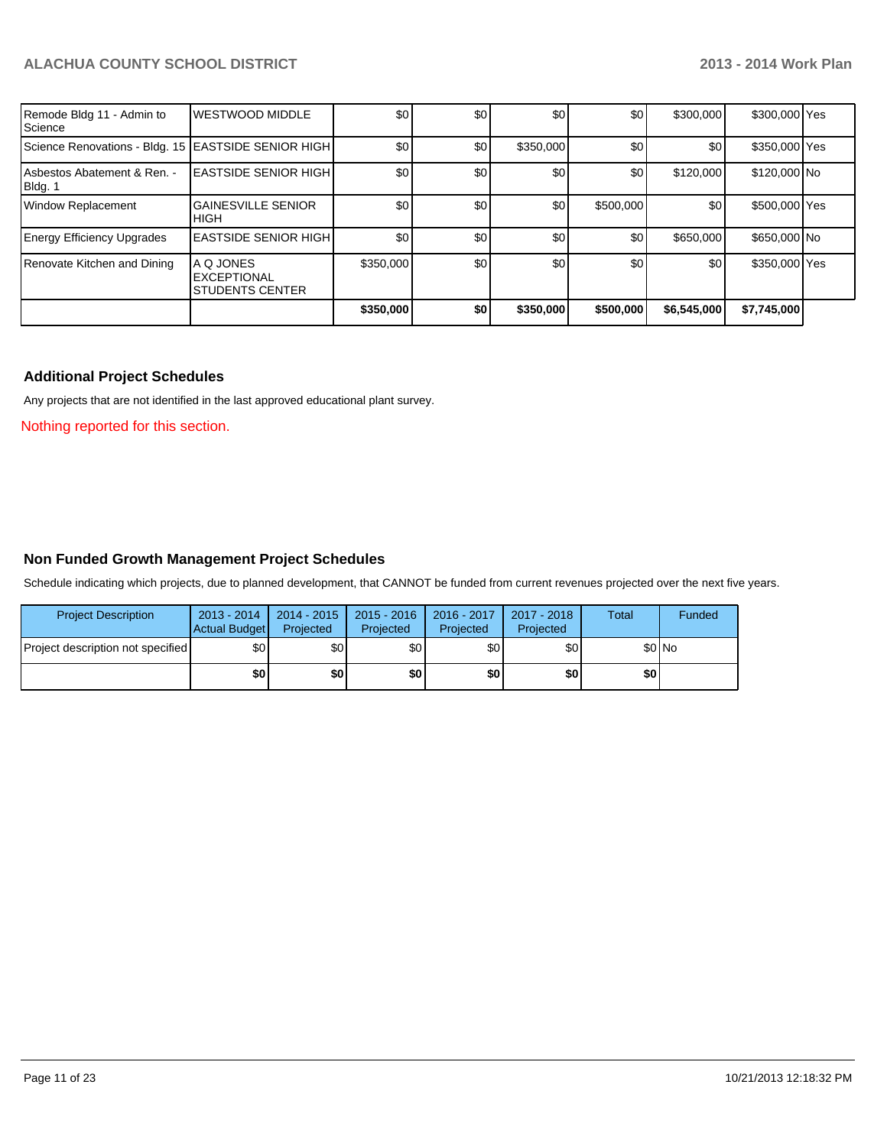| Remode Bldg 11 - Admin to<br>Science                | <b>WESTWOOD MIDDLE</b>                                           | \$0              | \$0 | \$0       | \$0       | \$300,000   | \$300,000 Yes |  |
|-----------------------------------------------------|------------------------------------------------------------------|------------------|-----|-----------|-----------|-------------|---------------|--|
| Science Renovations - Bldg. 15 EASTSIDE SENIOR HIGH |                                                                  | \$0              | \$0 | \$350,000 | \$0       | \$0         | \$350,000 Yes |  |
| Asbestos Abatement & Ren. -<br>Bldg. 1              | <b>LEASTSIDE SENIOR HIGH</b>                                     | \$0 <sub>0</sub> | \$0 | \$0       | \$0       | \$120,000   | \$120,000 No  |  |
| <b>Window Replacement</b>                           | <b>GAINESVILLE SENIOR</b><br><b>IHIGH</b>                        | \$0              | \$0 | \$0       | \$500,000 | \$0         | \$500,000 Yes |  |
| <b>Energy Efficiency Upgrades</b>                   | <b>IEASTSIDE SENIOR HIGH I</b>                                   | \$0              | \$0 | \$0       | \$0       | \$650,000   | \$650,000 No  |  |
| Renovate Kitchen and Dining                         | <b>A Q JONES</b><br><b>EXCEPTIONAL</b><br><b>STUDENTS CENTER</b> | \$350,000        | \$0 | \$0       | \$0       | \$0         | \$350,000 Yes |  |
|                                                     |                                                                  | \$350,000        | \$0 | \$350,000 | \$500,000 | \$6,545,000 | \$7,745,000   |  |

#### **Additional Project Schedules**

Any projects that are not identified in the last approved educational plant survey.

Nothing reported for this section.

#### **Non Funded Growth Management Project Schedules**

Schedule indicating which projects, due to planned development, that CANNOT be funded from current revenues projected over the next five years.

| <b>Project Description</b>               | $2013 - 2014$<br>Actual Budget | 2014 - 2015<br>Projected | $2015 - 2016$<br>Projected | 2016 - 2017<br>Projected | 2017 - 2018<br>Projected | <b>Total</b> | Funded |
|------------------------------------------|--------------------------------|--------------------------|----------------------------|--------------------------|--------------------------|--------------|--------|
| <b>Project description not specified</b> | \$0 <sub>1</sub>               | \$0                      | \$OI                       | \$0 <sub>1</sub>         | \$0                      |              | \$0 No |
|                                          | \$0                            | \$0                      | \$0 I                      | \$0                      | \$0                      | \$0          |        |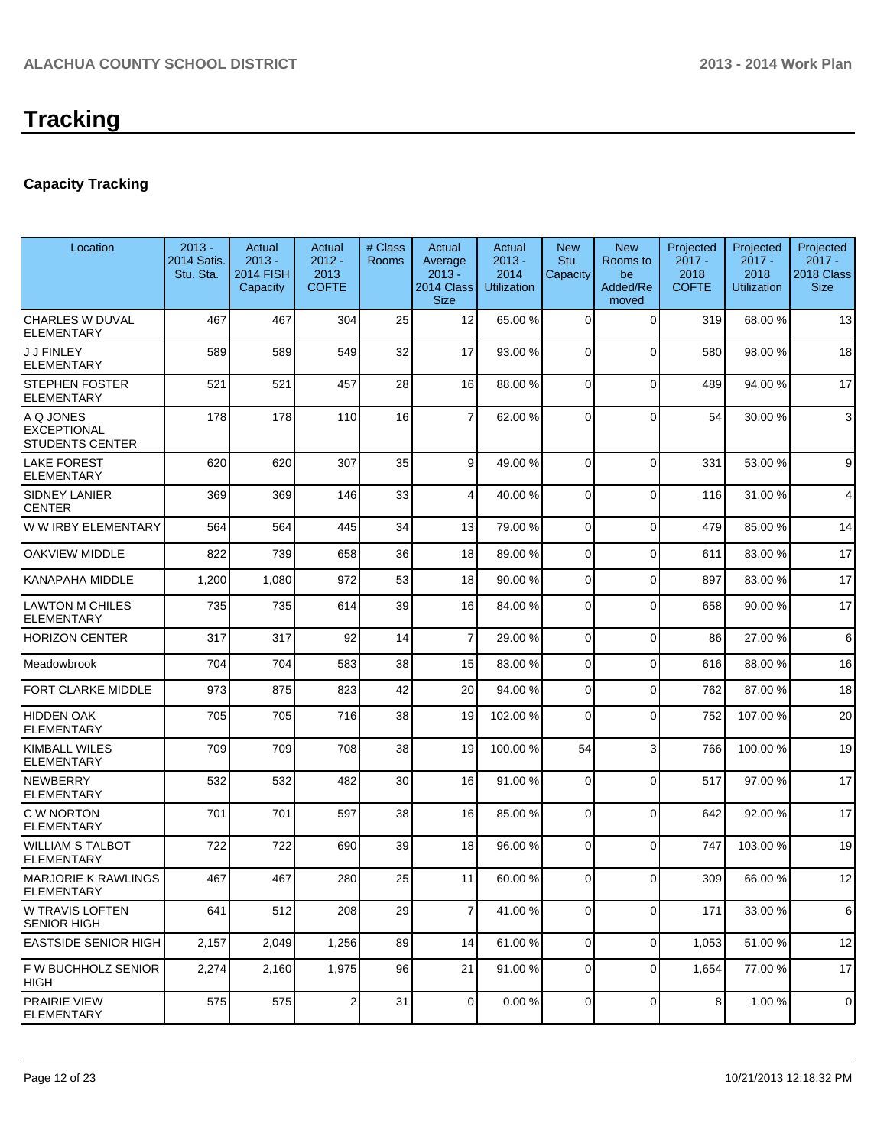# **Capacity Tracking**

| Location                                                  | $2013 -$<br><b>2014 Satis.</b><br>Stu. Sta. | Actual<br>$2013 -$<br><b>2014 FISH</b><br>Capacity | Actual<br>$2012 -$<br>2013<br><b>COFTE</b> | # Class<br><b>Rooms</b> | Actual<br>Average<br>$2013 -$<br>2014 Class<br><b>Size</b> | Actual<br>$2013 -$<br>2014<br><b>Utilization</b> | <b>New</b><br>Stu.<br>Capacity | <b>New</b><br>Rooms to<br>be<br>Added/Re<br>moved | Projected<br>$2017 -$<br>2018<br><b>COFTE</b> | Projected<br>$2017 -$<br>2018<br><b>Utilization</b> | Projected<br>$2017 -$<br>2018 Class<br><b>Size</b> |
|-----------------------------------------------------------|---------------------------------------------|----------------------------------------------------|--------------------------------------------|-------------------------|------------------------------------------------------------|--------------------------------------------------|--------------------------------|---------------------------------------------------|-----------------------------------------------|-----------------------------------------------------|----------------------------------------------------|
| <b>CHARLES W DUVAL</b><br><b>ELEMENTARY</b>               | 467                                         | 467                                                | 304                                        | 25                      | 12                                                         | 65.00 %                                          | $\Omega$                       | $\Omega$                                          | 319                                           | 68.00%                                              | 13                                                 |
| <b>J J FINLEY</b><br><b>ELEMENTARY</b>                    | 589                                         | 589                                                | 549                                        | 32                      | 17                                                         | 93.00 %                                          | $\Omega$                       | $\Omega$                                          | 580                                           | 98.00%                                              | 18                                                 |
| <b>STEPHEN FOSTER</b><br><b>ELEMENTARY</b>                | 521                                         | 521                                                | 457                                        | 28                      | 16                                                         | 88.00 %                                          | $\Omega$                       | $\Omega$                                          | 489                                           | 94.00%                                              | 17                                                 |
| A Q JONES<br><b>EXCEPTIONAL</b><br><b>STUDENTS CENTER</b> | 178                                         | 178                                                | 110                                        | 16                      | $\overline{7}$                                             | 62.00 %                                          | $\Omega$                       | $\Omega$                                          | 54                                            | 30.00 %                                             | 3                                                  |
| <b>LAKE FOREST</b><br><b>ELEMENTARY</b>                   | 620                                         | 620                                                | 307                                        | 35                      | 9                                                          | 49.00 %                                          | $\Omega$                       | $\Omega$                                          | 331                                           | 53.00 %                                             | 9                                                  |
| <b>SIDNEY LANIER</b><br><b>CENTER</b>                     | 369                                         | 369                                                | 146                                        | 33                      | $\overline{4}$                                             | 40.00 %                                          | $\Omega$                       | $\Omega$                                          | 116                                           | 31.00 %                                             | 4                                                  |
| W W IRBY ELEMENTARY                                       | 564                                         | 564                                                | 445                                        | 34                      | 13                                                         | 79.00 %                                          | $\Omega$                       | $\Omega$                                          | 479                                           | 85.00 %                                             | 14                                                 |
| <b>OAKVIEW MIDDLE</b>                                     | 822                                         | 739                                                | 658                                        | 36                      | 18                                                         | 89.00 %                                          | $\Omega$                       | $\Omega$                                          | 611                                           | 83.00 %                                             | 17                                                 |
| <b>KANAPAHA MIDDLE</b>                                    | 1,200                                       | 1,080                                              | 972                                        | 53                      | 18                                                         | 90.00 %                                          | $\mathbf 0$                    | $\Omega$                                          | 897                                           | 83.00 %                                             | 17                                                 |
| <b>LAWTON M CHILES</b><br><b>ELEMENTARY</b>               | 735                                         | 735                                                | 614                                        | 39                      | 16                                                         | 84.00 %                                          | $\mathbf 0$                    | $\Omega$                                          | 658                                           | 90.00%                                              | 17                                                 |
| <b>HORIZON CENTER</b>                                     | 317                                         | 317                                                | 92                                         | 14                      | $\overline{7}$                                             | 29.00 %                                          | $\mathbf 0$                    | $\Omega$                                          | 86                                            | 27.00 %                                             | 6                                                  |
| Meadowbrook                                               | 704                                         | 704                                                | 583                                        | 38                      | 15                                                         | 83.00 %                                          | $\mathbf 0$                    | $\Omega$                                          | 616                                           | 88.00%                                              | 16                                                 |
| <b>FORT CLARKE MIDDLE</b>                                 | 973                                         | 875                                                | 823                                        | 42                      | 20                                                         | 94.00 %                                          | $\mathbf 0$                    | $\Omega$                                          | 762                                           | 87.00 %                                             | 18                                                 |
| <b>HIDDEN OAK</b><br><b>ELEMENTARY</b>                    | 705                                         | 705                                                | 716                                        | 38                      | 19                                                         | 102.00 %                                         | $\Omega$                       | $\Omega$                                          | 752                                           | 107.00%                                             | 20                                                 |
| <b>KIMBALL WILES</b><br><b>ELEMENTARY</b>                 | 709                                         | 709                                                | 708                                        | 38                      | 19                                                         | 100.00 %                                         | 54                             | 3                                                 | 766                                           | 100.00%                                             | 19                                                 |
| <b>NEWBERRY</b><br><b>ELEMENTARY</b>                      | 532                                         | 532                                                | 482                                        | 30                      | 16                                                         | 91.00 %                                          | $\mathbf 0$                    | $\Omega$                                          | 517                                           | 97.00 %                                             | 17                                                 |
| <b>C W NORTON</b><br><b>ELEMENTARY</b>                    | 701                                         | 701                                                | 597                                        | 38                      | 16                                                         | 85.00 %                                          | $\mathbf 0$                    | $\Omega$                                          | 642                                           | 92.00%                                              | 17                                                 |
| <b>WILLIAM S TALBOT</b><br><b>ELEMENTARY</b>              | 722                                         | 722                                                | 690                                        | 39                      | 18                                                         | 96.00 %                                          | $\Omega$                       | $\Omega$                                          | 747                                           | 103.00 %                                            | 19                                                 |
| <b>MARJORIE K RAWLINGS</b><br><b>ELEMENTARY</b>           | 467                                         | 467                                                | 280                                        | 25                      | 11                                                         | 60.00 %                                          | $\overline{0}$                 | $\overline{0}$                                    | 309                                           | 66.00%                                              | 12                                                 |
| <b>W TRAVIS LOFTEN</b><br><b>SENIOR HIGH</b>              | 641                                         | 512                                                | 208                                        | 29                      | $\overline{7}$                                             | 41.00 %                                          | 0                              | 0                                                 | 171                                           | 33.00 %                                             | 6                                                  |
| <b>EASTSIDE SENIOR HIGH</b>                               | 2,157                                       | 2,049                                              | 1,256                                      | 89                      | 14                                                         | 61.00 %                                          | $\mathbf 0$                    | $\Omega$                                          | 1,053                                         | 51.00 %                                             | 12                                                 |
| F W BUCHHOLZ SENIOR<br> HIGH                              | 2,274                                       | 2,160                                              | 1,975                                      | 96                      | 21                                                         | 91.00 %                                          | $\mathbf 0$                    | 0                                                 | 1,654                                         | 77.00 %                                             | 17                                                 |
| <b>PRAIRIE VIEW</b><br><b>ELEMENTARY</b>                  | 575                                         | 575                                                | 2                                          | 31                      | 0                                                          | 0.00%                                            | 0                              | $\overline{0}$                                    | 8                                             | 1.00%                                               | 0                                                  |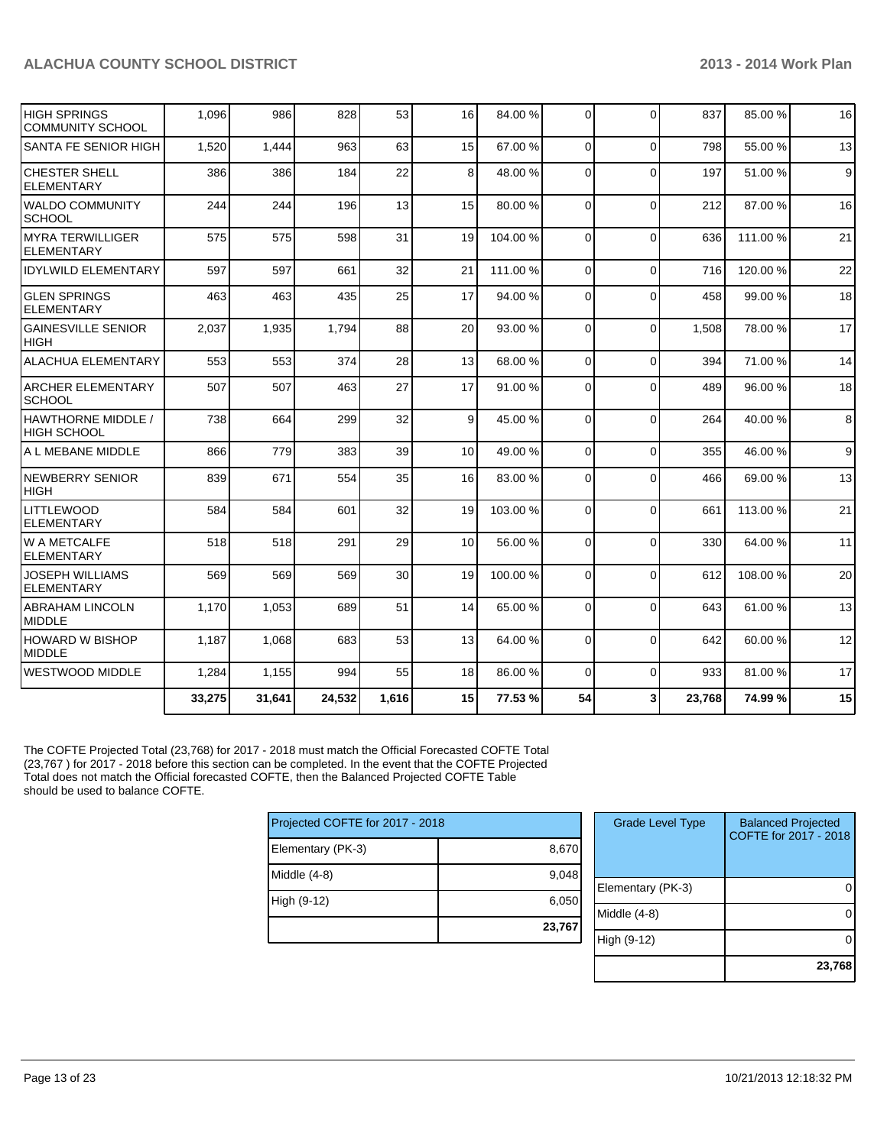| HIGH SPRINGS<br><b>COMMUNITY SCHOOL</b>     | 1,096  | 986    | 828    | 53    | 16              | 84.00 %  | $\Omega$    | $\Omega$    | 837    | 85.00 %  | 16 |
|---------------------------------------------|--------|--------|--------|-------|-----------------|----------|-------------|-------------|--------|----------|----|
| <b>SANTA FE SENIOR HIGH</b>                 | 1,520  | 1,444  | 963    | 63    | 15              | 67.00 %  | 0           | $\mathbf 0$ | 798    | 55.00 %  | 13 |
| <b>CHESTER SHELL</b><br><b>ELEMENTARY</b>   | 386    | 386    | 184    | 22    | 8               | 48.00 %  | $\Omega$    | $\Omega$    | 197    | 51.00 %  | 9  |
| <b>WALDO COMMUNITY</b><br><b>SCHOOL</b>     | 244    | 244    | 196    | 13    | 15              | 80.00 %  | $\Omega$    | $\Omega$    | 212    | 87.00 %  | 16 |
| IMYRA TERWILLIGER<br><b>ELEMENTARY</b>      | 575    | 575    | 598    | 31    | 19              | 104.00 % | 0           | $\Omega$    | 636    | 111.00 % | 21 |
| <b>IDYLWILD ELEMENTARY</b>                  | 597    | 597    | 661    | 32    | 21              | 111.00 % | $\Omega$    | $\Omega$    | 716    | 120.00%  | 22 |
| <b>GLEN SPRINGS</b><br><b>ELEMENTARY</b>    | 463    | 463    | 435    | 25    | 17              | 94.00 %  | $\Omega$    | $\Omega$    | 458    | 99.00 %  | 18 |
| <b>GAINESVILLE SENIOR</b><br><b>HIGH</b>    | 2,037  | 1,935  | 1.794  | 88    | 20              | 93.00 %  | 0           | $\Omega$    | 1.508  | 78.00 %  | 17 |
| <b>ALACHUA ELEMENTARY</b>                   | 553    | 553    | 374    | 28    | 13              | 68.00 %  | $\mathbf 0$ | $\Omega$    | 394    | 71.00%   | 14 |
| <b>ARCHER ELEMENTARY</b><br><b>SCHOOL</b>   | 507    | 507    | 463    | 27    | 17              | 91.00 %  | $\Omega$    | $\Omega$    | 489    | 96.00 %  | 18 |
| HAWTHORNE MIDDLE /<br><b>HIGH SCHOOL</b>    | 738    | 664    | 299    | 32    | 9               | 45.00 %  | $\mathbf 0$ | $\Omega$    | 264    | 40.00%   | 8  |
| A L MEBANE MIDDLE                           | 866    | 779    | 383    | 39    | 10 <sup>1</sup> | 49.00 %  | $\mathbf 0$ | $\mathbf 0$ | 355    | 46.00 %  | 9  |
| <b>NEWBERRY SENIOR</b><br><b>HIGH</b>       | 839    | 671    | 554    | 35    | 16              | 83.00 %  | $\Omega$    | $\Omega$    | 466    | 69.00%   | 13 |
| <b>LITTLEWOOD</b><br><b>ELEMENTARY</b>      | 584    | 584    | 601    | 32    | 19              | 103.00 % | $\Omega$    | $\Omega$    | 661    | 113.00 % | 21 |
| <b>W A METCALFE</b><br><b>ELEMENTARY</b>    | 518    | 518    | 291    | 29    | 10              | 56.00 %  | 0           | $\Omega$    | 330    | 64.00%   | 11 |
| <b>JOSEPH WILLIAMS</b><br><b>ELEMENTARY</b> | 569    | 569    | 569    | 30    | 19              | 100.00 % | $\Omega$    | $\Omega$    | 612    | 108.00%  | 20 |
| <b>ABRAHAM LINCOLN</b><br><b>MIDDLE</b>     | 1,170  | 1,053  | 689    | 51    | 14              | 65.00 %  | $\Omega$    | $\Omega$    | 643    | 61.00%   | 13 |
| HOWARD W BISHOP<br>MIDDLE                   | 1,187  | 1,068  | 683    | 53    | 13              | 64.00 %  | $\Omega$    | $\Omega$    | 642    | 60.00%   | 12 |
| IWESTWOOD MIDDLE                            | 1,284  | 1,155  | 994    | 55    | 18              | 86.00 %  | $\mathbf 0$ | $\Omega$    | 933    | 81.00%   | 17 |
|                                             | 33,275 | 31,641 | 24,532 | 1,616 | 15              | 77.53 %  | 54          | 3           | 23,768 | 74.99%   | 15 |

The COFTE Projected Total (23,768) for 2017 - 2018 must match the Official Forecasted COFTE Total (23,767 ) for 2017 - 2018 before this section can be completed. In the event that the COFTE Projected Total does not match the Official forecasted COFTE, then the Balanced Projected COFTE Table should be used to balance COFTE.

| Projected COFTE for 2017 - 2018 |        |  |  |  |
|---------------------------------|--------|--|--|--|
| Elementary (PK-3)               | 8,670  |  |  |  |
| Middle (4-8)                    | 9,048  |  |  |  |
| High (9-12)                     | 6,050  |  |  |  |
|                                 | 23,767 |  |  |  |

| <b>Grade Level Type</b> | <b>Balanced Projected</b><br>COFTE for 2017 - 2018 |
|-------------------------|----------------------------------------------------|
| Elementary (PK-3)       |                                                    |
| Middle (4-8)            |                                                    |
| High (9-12)             |                                                    |
|                         | 23,768                                             |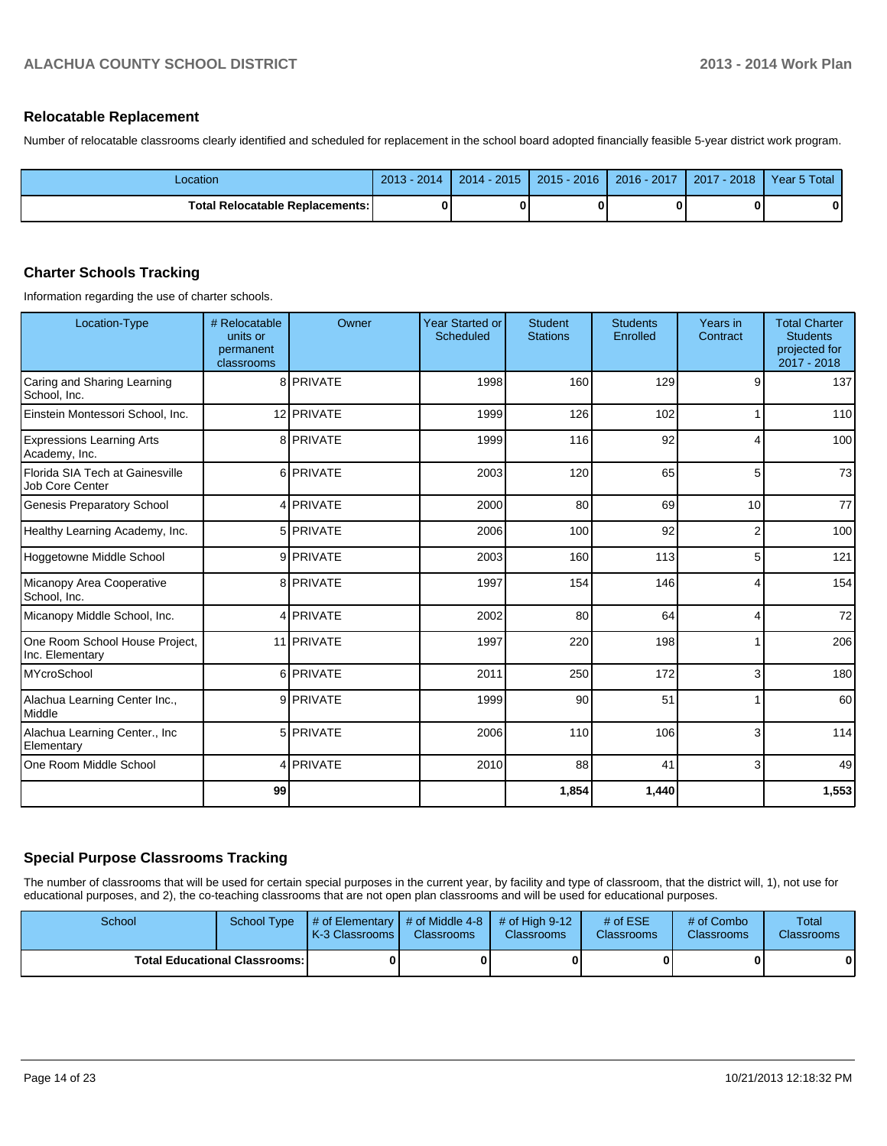#### **Relocatable Replacement**

Number of relocatable classrooms clearly identified and scheduled for replacement in the school board adopted financially feasible 5-year district work program.

| Location                                 | 2014<br>$2013 -$ | $2014 - 2015$ | $2015 - 2016$ | 2016 - 2017 | 2017 - 2018 | Year 5 Total |
|------------------------------------------|------------------|---------------|---------------|-------------|-------------|--------------|
| <b>Total Relocatable Replacements: I</b> |                  |               |               |             |             |              |

#### **Charter Schools Tracking**

Information regarding the use of charter schools.

| <b>Location-Type</b>                               | # Relocatable<br>units or<br>permanent<br>classrooms | Owner      | <b>Year Started or</b><br>Scheduled | <b>Student</b><br><b>Stations</b> | <b>Students</b><br>Enrolled | Years in<br>Contract | <b>Total Charter</b><br><b>Students</b><br>projected for<br>2017 - 2018 |
|----------------------------------------------------|------------------------------------------------------|------------|-------------------------------------|-----------------------------------|-----------------------------|----------------------|-------------------------------------------------------------------------|
| Caring and Sharing Learning<br>School. Inc.        |                                                      | 8 PRIVATE  | 1998                                | 160                               | 129                         | 9                    | 137                                                                     |
| Einstein Montessori School, Inc.                   |                                                      | 12 PRIVATE | 1999                                | 126                               | 102                         |                      | 110                                                                     |
| <b>Expressions Learning Arts</b><br>Academy, Inc.  |                                                      | 8 PRIVATE  | 1999                                | 116                               | 92                          | 4                    | 100                                                                     |
| Florida SIA Tech at Gainesville<br>Job Core Center |                                                      | 6 PRIVATE  | 2003                                | 120                               | 65                          | 5                    | 73                                                                      |
| <b>Genesis Preparatory School</b>                  |                                                      | 4 PRIVATE  | 2000                                | 80                                | 69                          | 10                   | 77                                                                      |
| Healthy Learning Academy, Inc.                     |                                                      | 5 PRIVATE  | 2006                                | 100                               | 92                          | $\overline{2}$       | 100                                                                     |
| Hoggetowne Middle School                           |                                                      | 9 PRIVATE  | 2003                                | 160                               | 113                         | 5                    | 121                                                                     |
| Micanopy Area Cooperative<br>School, Inc.          |                                                      | 8 PRIVATE  | 1997                                | 154                               | 146                         | 4                    | 154                                                                     |
| Micanopy Middle School, Inc.                       |                                                      | 4 PRIVATE  | 2002                                | 80                                | 64                          | 4                    | 72                                                                      |
| One Room School House Project,<br>Inc. Elementary  |                                                      | 11 PRIVATE | 1997                                | 220                               | 198                         |                      | 206                                                                     |
| <b>MYcroSchool</b>                                 |                                                      | 6 PRIVATE  | 2011                                | 250                               | 172                         | 3                    | 180                                                                     |
| Alachua Learning Center Inc.,<br>Middle            |                                                      | 9 PRIVATE  | 1999                                | 90                                | 51                          |                      | 60                                                                      |
| Alachua Learning Center., Inc<br>Elementary        |                                                      | 5 PRIVATE  | 2006                                | 110                               | 106                         | 3                    | 114                                                                     |
| One Room Middle School                             |                                                      | 4 PRIVATE  | 2010                                | 88                                | 41                          | 3                    | 49                                                                      |
|                                                    | 99                                                   |            |                                     | 1,854                             | 1,440                       |                      | 1,553                                                                   |

### **Special Purpose Classrooms Tracking**

The number of classrooms that will be used for certain special purposes in the current year, by facility and type of classroom, that the district will, 1), not use for educational purposes, and 2), the co-teaching classrooms that are not open plan classrooms and will be used for educational purposes.

| School                                 | School Type | $\parallel$ # of Elementary $\parallel$ # of Middle 4-8 $\parallel$ # of High 9-12<br><b>IK-3 Classrooms I</b> | <b>Classrooms</b> | <b>Classrooms</b> | # of $ESE$<br>Classrooms | # of Combo<br><b>Classrooms</b> | <b>Total</b><br><b>Classrooms</b> |
|----------------------------------------|-------------|----------------------------------------------------------------------------------------------------------------|-------------------|-------------------|--------------------------|---------------------------------|-----------------------------------|
| <b>Total Educational Classrooms: I</b> |             |                                                                                                                |                   |                   |                          | 01                              | 0                                 |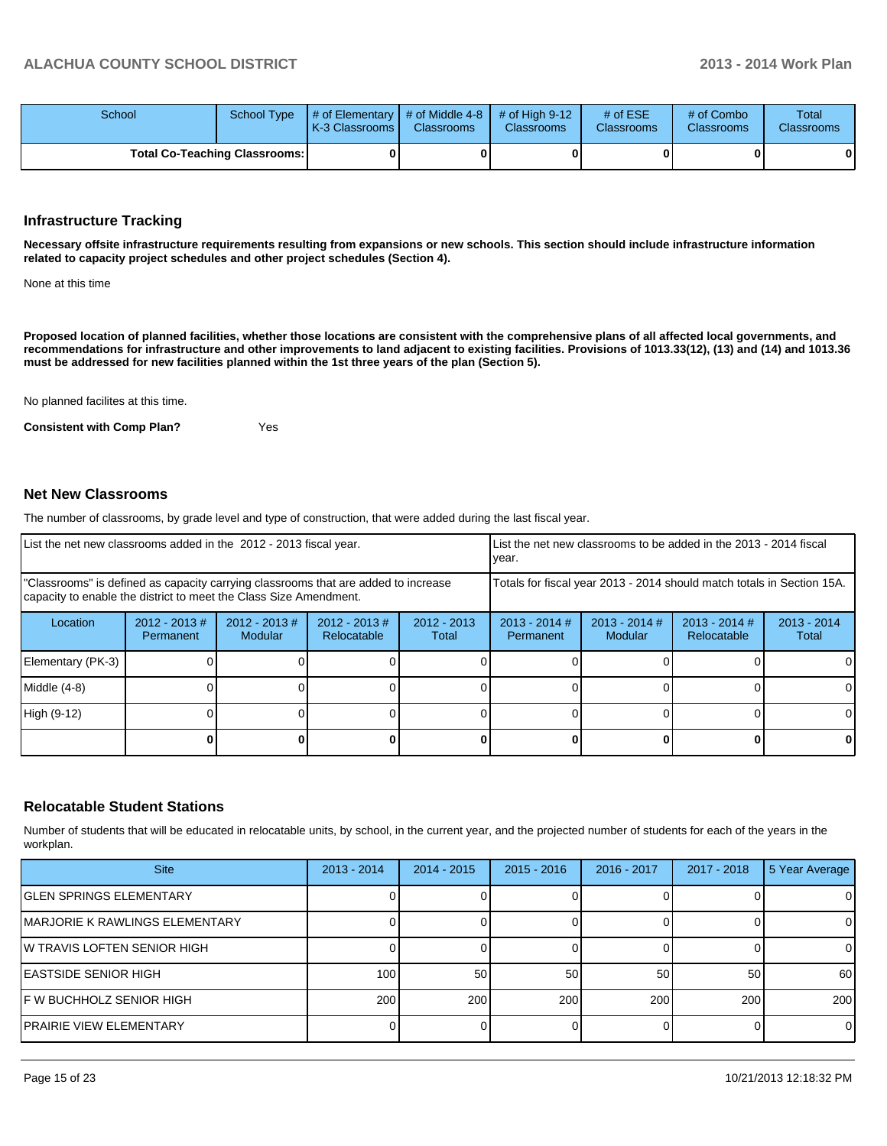| School                        |  | School Type $\parallel \#$ of Elementary $\parallel \#$ of Middle 4-8 $\parallel \#$ of High 9-12<br><b>K-3 Classrooms L</b> | <b>Classrooms</b> | <b>Classrooms</b> | # of $ESE$<br><b>Classrooms</b> | # of Combo<br><b>Classrooms</b> | Total<br><b>Classrooms</b> |
|-------------------------------|--|------------------------------------------------------------------------------------------------------------------------------|-------------------|-------------------|---------------------------------|---------------------------------|----------------------------|
| Total Co-Teaching Classrooms: |  |                                                                                                                              |                   |                   |                                 | 0                               | 0                          |

#### **Infrastructure Tracking**

**Necessary offsite infrastructure requirements resulting from expansions or new schools. This section should include infrastructure information related to capacity project schedules and other project schedules (Section 4).**

None at this time

**Proposed location of planned facilities, whether those locations are consistent with the comprehensive plans of all affected local governments, and recommendations for infrastructure and other improvements to land adjacent to existing facilities. Provisions of 1013.33(12), (13) and (14) and 1013.36 must be addressed for new facilities planned within the 1st three years of the plan (Section 5).**

No planned facilites at this time.

**Consistent with Comp Plan?** Yes

#### **Net New Classrooms**

The number of classrooms, by grade level and type of construction, that were added during the last fiscal year.

| List the net new classrooms added in the 2012 - 2013 fiscal year.                                                                                       |                               |                             |                                |                                                                        | Llist the net new classrooms to be added in the 2013 - 2014 fiscal<br>Ivear. |                            |                                |                        |
|---------------------------------------------------------------------------------------------------------------------------------------------------------|-------------------------------|-----------------------------|--------------------------------|------------------------------------------------------------------------|------------------------------------------------------------------------------|----------------------------|--------------------------------|------------------------|
| "Classrooms" is defined as capacity carrying classrooms that are added to increase<br>capacity to enable the district to meet the Class Size Amendment. |                               |                             |                                | Totals for fiscal year 2013 - 2014 should match totals in Section 15A. |                                                                              |                            |                                |                        |
| Location                                                                                                                                                | $2012 - 2013 \#$<br>Permanent | $2012 - 2013 \#$<br>Modular | $2012 - 2013$ #<br>Relocatable | $2012 - 2013$<br>Total                                                 | $2013 - 2014$ #<br>Permanent                                                 | $2013 - 2014$ #<br>Modular | $2013 - 2014$ #<br>Relocatable | $2013 - 2014$<br>Total |
| Elementary (PK-3)                                                                                                                                       |                               |                             |                                |                                                                        |                                                                              |                            |                                |                        |
| Middle (4-8)                                                                                                                                            |                               |                             |                                |                                                                        |                                                                              |                            |                                |                        |
| High (9-12)                                                                                                                                             |                               |                             |                                |                                                                        |                                                                              |                            |                                |                        |
|                                                                                                                                                         |                               |                             |                                |                                                                        |                                                                              |                            |                                | 0                      |

#### **Relocatable Student Stations**

Number of students that will be educated in relocatable units, by school, in the current year, and the projected number of students for each of the years in the workplan.

| <b>Site</b>                     | $2013 - 2014$ | $2014 - 2015$ | $2015 - 2016$ | 2016 - 2017 | 2017 - 2018 | 5 Year Average |
|---------------------------------|---------------|---------------|---------------|-------------|-------------|----------------|
| IGLEN SPRINGS ELEMENTARY        |               |               |               |             |             | 0              |
| IMARJORIE K RAWLINGS ELEMENTARY |               |               |               |             |             | 0              |
| IW TRAVIS LOFTEN SENIOR HIGH    |               |               |               |             |             | $\Omega$       |
| IEASTSIDE SENIOR HIGH           | 100           | 50            | 50            | 50          | 50          | 60             |
| IF W BUCHHOLZ SENIOR HIGH       | 200           | 200           | 200           | 200         | 200         | 200            |
| PRAIRIE VIEW ELEMENTARY         |               |               |               |             |             | $\overline{0}$ |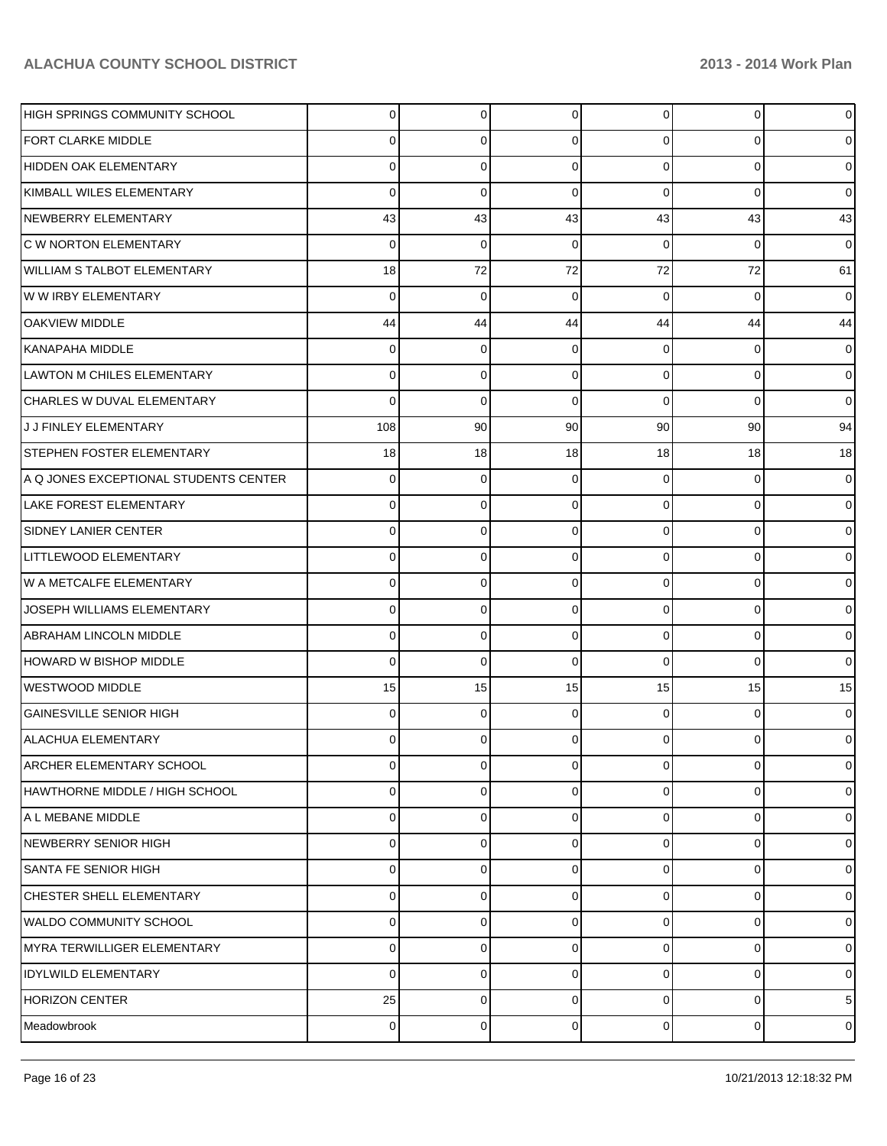| HIGH SPRINGS COMMUNITY SCHOOL         | $\Omega$ | 0           | 0        | $\overline{0}$ | 0        | $\overline{0}$  |
|---------------------------------------|----------|-------------|----------|----------------|----------|-----------------|
| FORT CLARKE MIDDLE                    | 0        | 0           | 0        | $\Omega$       | 0        | $\overline{0}$  |
| HIDDEN OAK ELEMENTARY                 | 0        | 0           | 0        | $\Omega$       | 0        | $\overline{0}$  |
| KIMBALL WILES ELEMENTARY              | 0        | $\mathbf 0$ | 0        | $\Omega$       | 0        | 0               |
| NEWBERRY ELEMENTARY                   | 43       | 43          | 43       | 43             | 43       | 43              |
| <b>C W NORTON ELEMENTARY</b>          | 0        | $\mathbf 0$ | 0        | $\Omega$       | 0        | $\overline{0}$  |
| WILLIAM S TALBOT ELEMENTARY           | 18       | 72          | 72       | 72             | 72       | 61              |
| W W IRBY ELEMENTARY                   | 0        | $\mathbf 0$ | 0        | $\Omega$       | 0        | $\overline{0}$  |
| <b>OAKVIEW MIDDLE</b>                 | 44       | 44          | 44       | 44             | 44       | 44              |
| KANAPAHA MIDDLE                       | 0        | 0           | 0        | $\Omega$       | 0        | $\overline{0}$  |
| <b>LAWTON M CHILES ELEMENTARY</b>     | 0        | 0           | 0        | $\Omega$       | 0        | $\overline{0}$  |
| CHARLES W DUVAL ELEMENTARY            | 0        | $\mathbf 0$ | 0        | $\Omega$       | 0        | $\overline{0}$  |
| J J FINLEY ELEMENTARY                 | 108      | 90          | 90       | 90             | 90       | 94              |
| STEPHEN FOSTER ELEMENTARY             | 18       | 18          | 18       | 18             | 18       | 18              |
| A Q JONES EXCEPTIONAL STUDENTS CENTER | 0        | 0           | 0        | $\Omega$       | 0        | $\overline{0}$  |
| LAKE FOREST ELEMENTARY                | 0        | 0           | 0        | $\Omega$       | 0        | $\overline{0}$  |
| <b>SIDNEY LANIER CENTER</b>           | 0        | 0           | 0        | $\Omega$       | 0        | $\overline{0}$  |
| LITTLEWOOD ELEMENTARY                 | 0        | 0           | 0        | $\Omega$       | 0        | $\overline{0}$  |
| W A METCALFE ELEMENTARY               | 0        | 0           | 0        | $\Omega$       | 0        | $\overline{0}$  |
| JOSEPH WILLIAMS ELEMENTARY            | 0        | 0           | 0        | $\Omega$       | 0        | $\overline{0}$  |
| <b>ABRAHAM LINCOLN MIDDLE</b>         | 0        | 0           | 0        | $\Omega$       | 0        | 0               |
| HOWARD W BISHOP MIDDLE                | 0        | $\mathbf 0$ | 0        | $\Omega$       | $\Omega$ | 0               |
| <b>WESTWOOD MIDDLE</b>                | 15       | 15          | 15       | 15             | 15       | 15              |
| <b>GAINESVILLE SENIOR HIGH</b>        | 0        | 0           | 0        | $\Omega$       | 0        | 0               |
| ALACHUA ELEMENTARY                    | 0        | 0           | 0        | 0              | 0        | 0               |
| <b>ARCHER ELEMENTARY SCHOOL</b>       | $\Omega$ | 0           | 0        | $\Omega$       | 0        | 0               |
| HAWTHORNE MIDDLE / HIGH SCHOOL        | 0        | 0           | 0        | $\Omega$       | 0        | $\overline{0}$  |
| A L MEBANE MIDDLE                     | 0        | 0           | 0        | $\Omega$       | 0        | $\overline{0}$  |
| NEWBERRY SENIOR HIGH                  | 0        | 0           | 0        | $\Omega$       | 0        | $\overline{0}$  |
| SANTA FE SENIOR HIGH                  | 0        | 0           | 0        | $\Omega$       | 0        | $\overline{0}$  |
| CHESTER SHELL ELEMENTARY              | 0        | 0           | 0        | $\Omega$       | 0        | $\overline{0}$  |
| WALDO COMMUNITY SCHOOL                | 0        | 0           | 0        | $\Omega$       | 0        | $\overline{0}$  |
| MYRA TERWILLIGER ELEMENTARY           | 0        | 0           | 0        | $\Omega$       | 0        | $\overline{0}$  |
| <b>IDYLWILD ELEMENTARY</b>            | 0        | 0           | 0        | $\Omega$       | $\Omega$ | $\overline{0}$  |
| <b>HORIZON CENTER</b>                 | 25       | 0           | $\Omega$ | $\Omega$       | 0        | $5\phantom{.0}$ |
| Meadowbrook                           | 0        | 0           | 0        | $\overline{0}$ | 0        | $\overline{0}$  |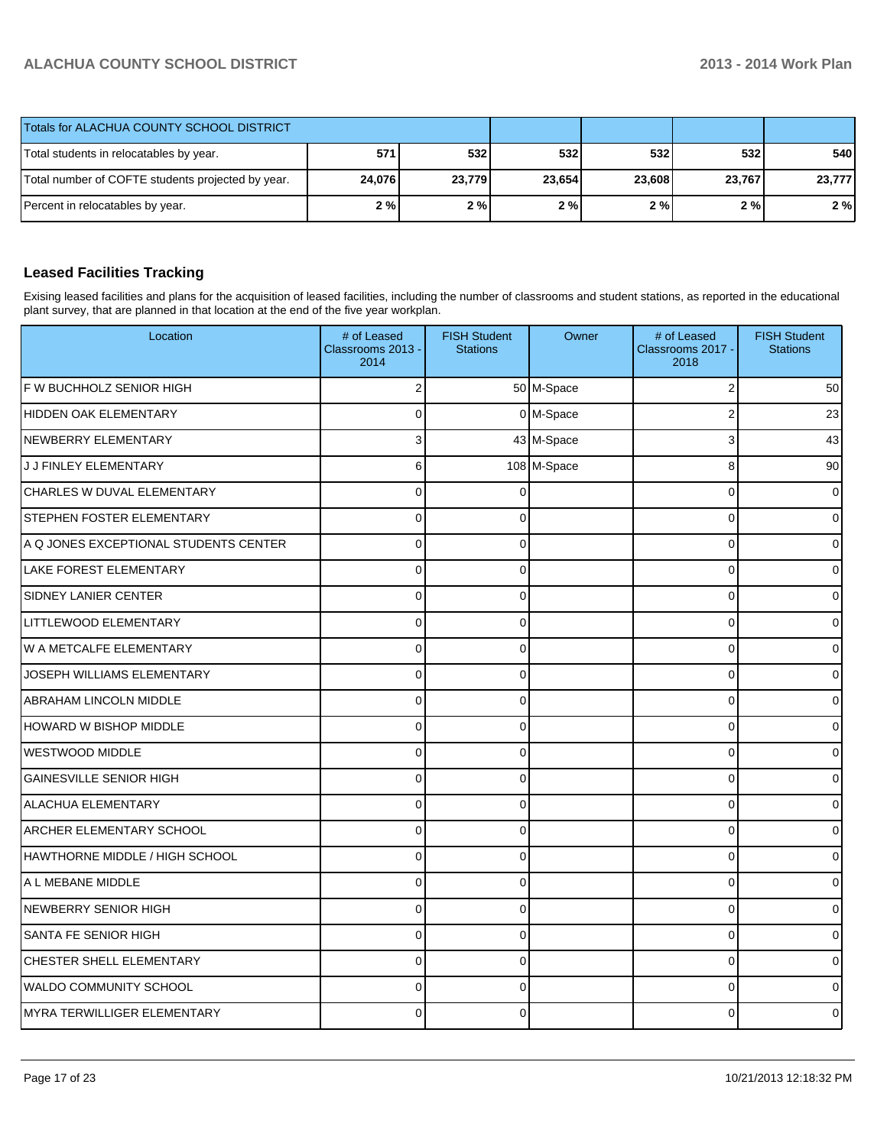| Totals for ALACHUA COUNTY SCHOOL DISTRICT         |        |        |        |        |        |        |
|---------------------------------------------------|--------|--------|--------|--------|--------|--------|
| Total students in relocatables by year.           | 5711   | 532l   | 532 l  | 532    | 532    | 540    |
| Total number of COFTE students projected by year. | 24,076 | 23,779 | 23,654 | 23,608 | 23,767 | 23,777 |
| Percent in relocatables by year.                  | 2%     | 2%     | 2%     | 2%     | 2%     | 2%     |

## **Leased Facilities Tracking**

Exising leased facilities and plans for the acquisition of leased facilities, including the number of classrooms and student stations, as reported in the educational plant survey, that are planned in that location at the end of the five year workplan.

| Location                              | # of Leased<br>Classrooms 2013 -<br>2014 | <b>FISH Student</b><br><b>Stations</b> | Owner       | # of Leased<br>Classrooms 2017 -<br>2018 | <b>FISH Student</b><br><b>Stations</b> |
|---------------------------------------|------------------------------------------|----------------------------------------|-------------|------------------------------------------|----------------------------------------|
| F W BUCHHOLZ SENIOR HIGH              | $\overline{2}$                           |                                        | 50 M-Space  | $\overline{2}$                           | 50                                     |
| <b>HIDDEN OAK ELEMENTARY</b>          | $\Omega$                                 |                                        | 0 M-Space   | $\overline{2}$                           | 23                                     |
| NEWBERRY ELEMENTARY                   | 3                                        |                                        | 43 M-Space  | 3                                        | 43                                     |
| J J FINLEY ELEMENTARY                 | 6                                        |                                        | 108 M-Space | 8                                        | 90                                     |
| CHARLES W DUVAL ELEMENTARY            | $\Omega$                                 | $\Omega$                               |             | $\Omega$                                 | 0                                      |
| <b>STEPHEN FOSTER ELEMENTARY</b>      | $\Omega$                                 | $\Omega$                               |             | $\Omega$                                 | 0                                      |
| A Q JONES EXCEPTIONAL STUDENTS CENTER | $\overline{0}$                           | $\Omega$                               |             | 0                                        | 0                                      |
| LAKE FOREST ELEMENTARY                | $\mathbf 0$                              | 0                                      |             | 0                                        | 0                                      |
| <b>SIDNEY LANIER CENTER</b>           | $\Omega$                                 | 0                                      |             | $\Omega$                                 | 0                                      |
| <b>LITTLEWOOD ELEMENTARY</b>          | $\overline{0}$                           | $\mathbf{0}$                           |             | 0                                        | 0                                      |
| W A METCALFE ELEMENTARY               | $\mathbf 0$                              | 0                                      |             | 0                                        | 0                                      |
| JOSEPH WILLIAMS ELEMENTARY            | $\Omega$                                 | $\mathbf{0}$                           |             | $\Omega$                                 | 0                                      |
| ABRAHAM LINCOLN MIDDLE                | $\Omega$                                 | $\Omega$                               |             | 0                                        | 0                                      |
| <b>HOWARD W BISHOP MIDDLE</b>         | $\Omega$                                 | 0                                      |             | $\Omega$                                 | 0                                      |
| <b>WESTWOOD MIDDLE</b>                | $\mathbf 0$                              | $\Omega$                               |             | 0                                        | 0                                      |
| <b>GAINESVILLE SENIOR HIGH</b>        | $\Omega$                                 | $\mathbf{0}$                           |             | $\Omega$                                 | 0                                      |
| <b>ALACHUA ELEMENTARY</b>             | $\Omega$                                 | $\Omega$                               |             | 0                                        | 0                                      |
| <b>ARCHER ELEMENTARY SCHOOL</b>       | $\mathbf 0$                              | $\Omega$                               |             | $\Omega$                                 | 0                                      |
| HAWTHORNE MIDDLE / HIGH SCHOOL        | $\mathbf 0$                              | $\Omega$                               |             | 0                                        | 0                                      |
| A L MEBANE MIDDLE                     | $\mathbf 0$                              | $\Omega$                               |             | $\Omega$                                 | 0                                      |
| <b>NEWBERRY SENIOR HIGH</b>           | $\overline{0}$                           | $\Omega$                               |             | $\overline{0}$                           | 0                                      |
| SANTA FE SENIOR HIGH                  | $\mathbf 0$                              | 0                                      |             | $\Omega$                                 | 0                                      |
| CHESTER SHELL ELEMENTARY              | $\Omega$                                 | $\Omega$                               |             | $\Omega$                                 | 0                                      |
| <b>WALDO COMMUNITY SCHOOL</b>         | $\Omega$                                 | $\Omega$                               |             | $\Omega$                                 | 0                                      |
| <b>MYRA TERWILLIGER ELEMENTARY</b>    | $\Omega$                                 | $\Omega$                               |             | 0                                        | 0                                      |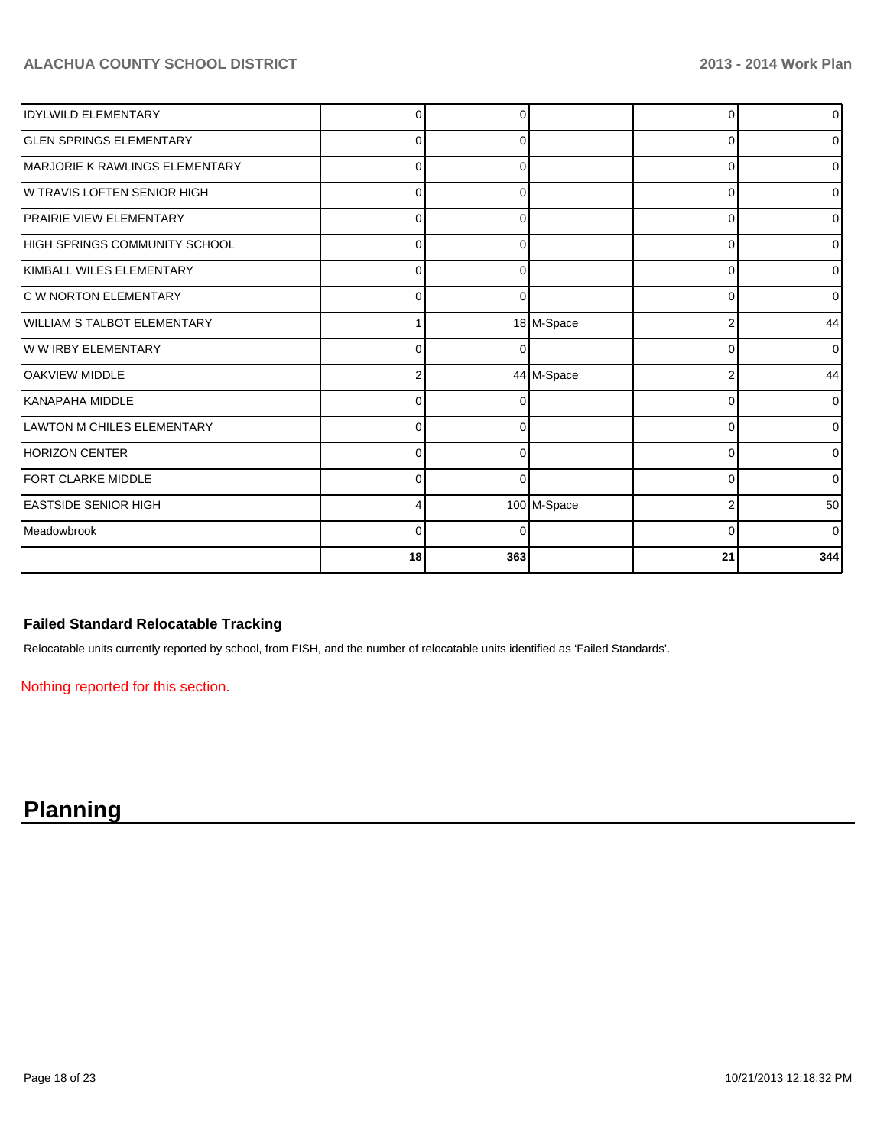| <b>IDYLWILD ELEMENTARY</b>         |          |     |             |          | $\overline{0}$ |
|------------------------------------|----------|-----|-------------|----------|----------------|
| <b>GLEN SPRINGS ELEMENTARY</b>     | $\Omega$ | 0   |             | ŋ        | $\overline{0}$ |
| IMARJORIE K RAWLINGS ELEMENTARY    | 0        | O   |             | 0        | $\overline{0}$ |
| IW TRAVIS LOFTEN SENIOR HIGH       | 0        | 0   |             | 0        | 0              |
| <b>IPRAIRIE VIEW ELEMENTARY</b>    | 0        | 0   |             | 0        | $\overline{0}$ |
| HIGH SPRINGS COMMUNITY SCHOOL      | 0        | 0   |             | 0        | $\overline{0}$ |
| KIMBALL WILES ELEMENTARY           | 0        | 0   |             | $\Omega$ | $\overline{0}$ |
| <b>C W NORTON ELEMENTARY</b>       | $\Omega$ | U   |             | $\Omega$ | $\overline{0}$ |
| <b>WILLIAM S TALBOT ELEMENTARY</b> |          |     | 18 M-Space  |          | 44             |
| W W IRBY ELEMENTARY                | $\Omega$ |     |             | C        | $\overline{0}$ |
| <b>OAKVIEW MIDDLE</b>              | 2        |     | 44 M-Space  | 2        | 44             |
| İKANAPAHA MIDDLE                   | $\Omega$ |     |             | 0        | $\overline{0}$ |
| LAWTON M CHILES ELEMENTARY         | $\Omega$ |     |             | ∩        | $\overline{0}$ |
| HORIZON CENTER                     | 0        | O   |             | ∩        | $\overline{0}$ |
| <b>FORT CLARKE MIDDLE</b>          | 0        | 0   |             | ∩        | $\overline{0}$ |
| <b>IEASTSIDE SENIOR HIGH</b>       |          |     | 100 M-Space |          | 50             |
| <b>I</b> Meadowbrook               | 0        | 0   |             | 0        | $\overline{0}$ |
|                                    | 18       | 363 |             | 21       | 344            |

### **Failed Standard Relocatable Tracking**

Relocatable units currently reported by school, from FISH, and the number of relocatable units identified as 'Failed Standards'.

Nothing reported for this section.

# **Planning**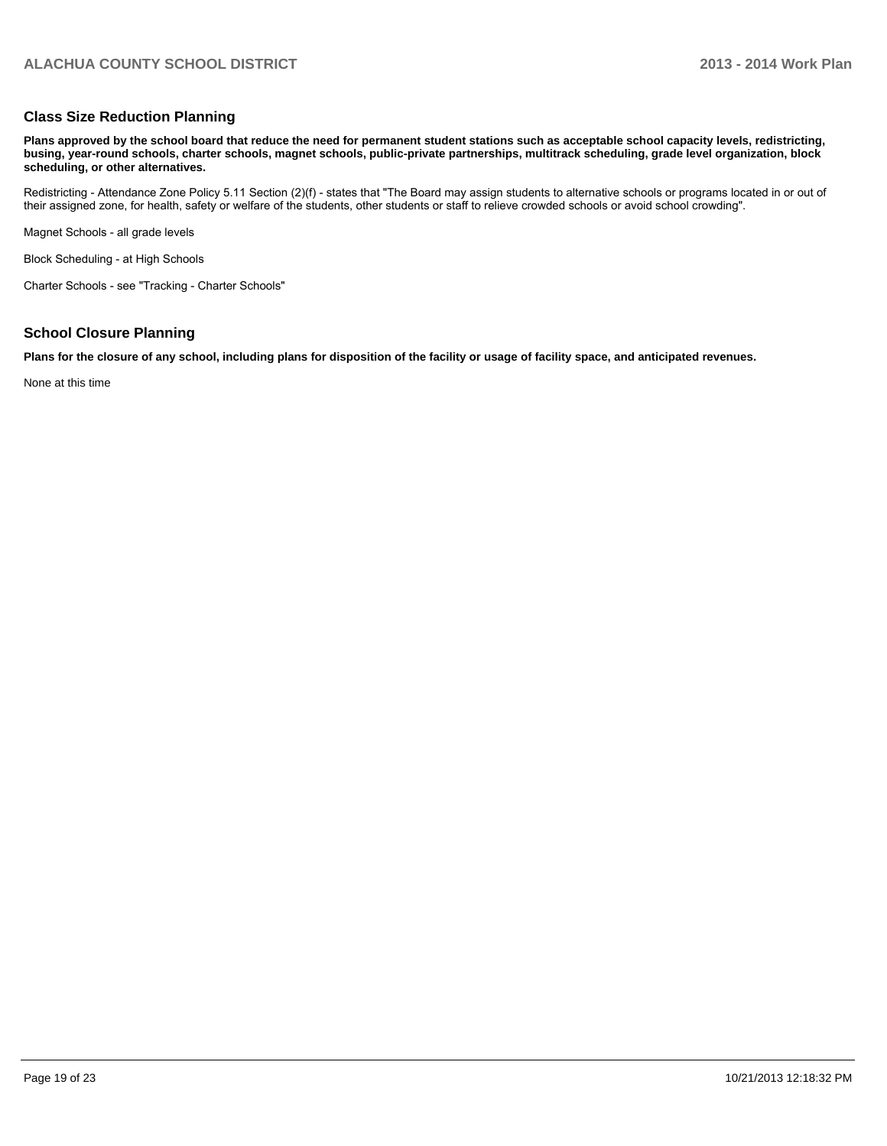#### **Class Size Reduction Planning**

**Plans approved by the school board that reduce the need for permanent student stations such as acceptable school capacity levels, redistricting, busing, year-round schools, charter schools, magnet schools, public-private partnerships, multitrack scheduling, grade level organization, block scheduling, or other alternatives.**

Redistricting - Attendance Zone Policy 5.11 Section (2)(f) - states that "The Board may assign students to alternative schools or programs located in or out of their assigned zone, for health, safety or welfare of the students, other students or staff to relieve crowded schools or avoid school crowding".

Magnet Schools - all grade levels

Block Scheduling - at High Schools

Charter Schools - see "Tracking - Charter Schools"

#### **School Closure Planning**

**Plans for the closure of any school, including plans for disposition of the facility or usage of facility space, and anticipated revenues.**

None at this time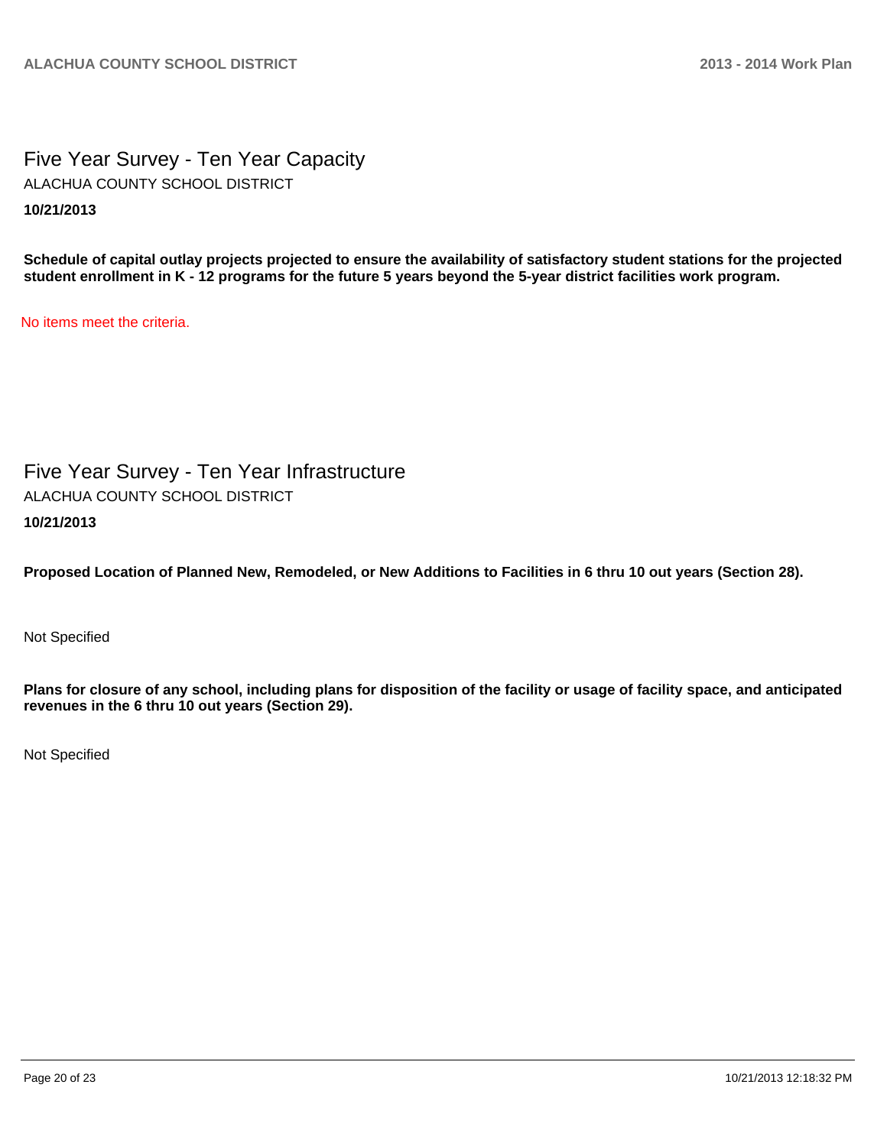Five Year Survey - Ten Year Capacity **10/21/2013** ALACHUA COUNTY SCHOOL DISTRICT

**Schedule of capital outlay projects projected to ensure the availability of satisfactory student stations for the projected student enrollment in K - 12 programs for the future 5 years beyond the 5-year district facilities work program.**

No items meet the criteria.

Five Year Survey - Ten Year Infrastructure **10/21/2013** ALACHUA COUNTY SCHOOL DISTRICT

**Proposed Location of Planned New, Remodeled, or New Additions to Facilities in 6 thru 10 out years (Section 28).**

Not Specified

**Plans for closure of any school, including plans for disposition of the facility or usage of facility space, and anticipated revenues in the 6 thru 10 out years (Section 29).**

Not Specified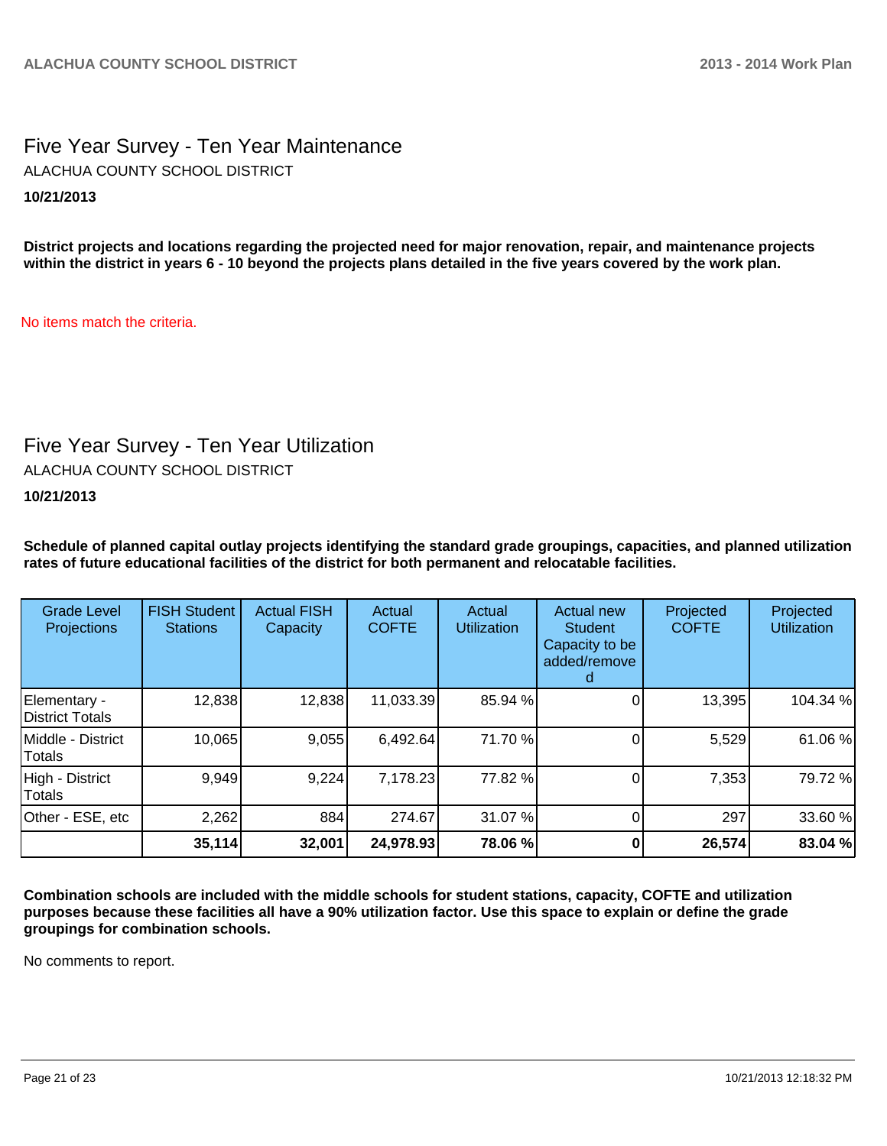# Five Year Survey - Ten Year Maintenance **10/21/2013** ALACHUA COUNTY SCHOOL DISTRICT

**District projects and locations regarding the projected need for major renovation, repair, and maintenance projects within the district in years 6 - 10 beyond the projects plans detailed in the five years covered by the work plan.**

No items match the criteria.

# Five Year Survey - Ten Year Utilization

ALACHUA COUNTY SCHOOL DISTRICT

**10/21/2013**

**Schedule of planned capital outlay projects identifying the standard grade groupings, capacities, and planned utilization rates of future educational facilities of the district for both permanent and relocatable facilities.**

| <b>Grade Level</b><br>Projections | <b>FISH Student</b><br><b>Stations</b> | <b>Actual FISH</b><br>Capacity | Actual<br><b>COFTE</b> | Actual<br><b>Utilization</b> | Actual new<br><b>Student</b><br>Capacity to be<br>added/remove | Projected<br><b>COFTE</b> | Projected<br><b>Utilization</b> |
|-----------------------------------|----------------------------------------|--------------------------------|------------------------|------------------------------|----------------------------------------------------------------|---------------------------|---------------------------------|
| Elementary -<br>District Totals   | 12,838                                 | 12,838                         | 11,033.39              | 85.94 %                      |                                                                | 13,395                    | 104.34 %                        |
| Middle - District<br>Totals       | 10,065                                 | 9,055                          | 6,492.64               | 71.70 %                      |                                                                | 5,529                     | 61.06%                          |
| High - District<br>Totals         | 9,949                                  | 9,224                          | 7,178.23               | 77.82 %                      |                                                                | 7,353                     | 79.72%                          |
| Other - ESE, etc                  | 2,262                                  | 884                            | 274.67                 | 31.07 %                      |                                                                | 297                       | 33.60 %                         |
|                                   | 35,114                                 | 32,001                         | 24,978.93              | 78.06 %                      |                                                                | 26,574                    | 83.04 %                         |

**Combination schools are included with the middle schools for student stations, capacity, COFTE and utilization purposes because these facilities all have a 90% utilization factor. Use this space to explain or define the grade groupings for combination schools.**

No comments to report.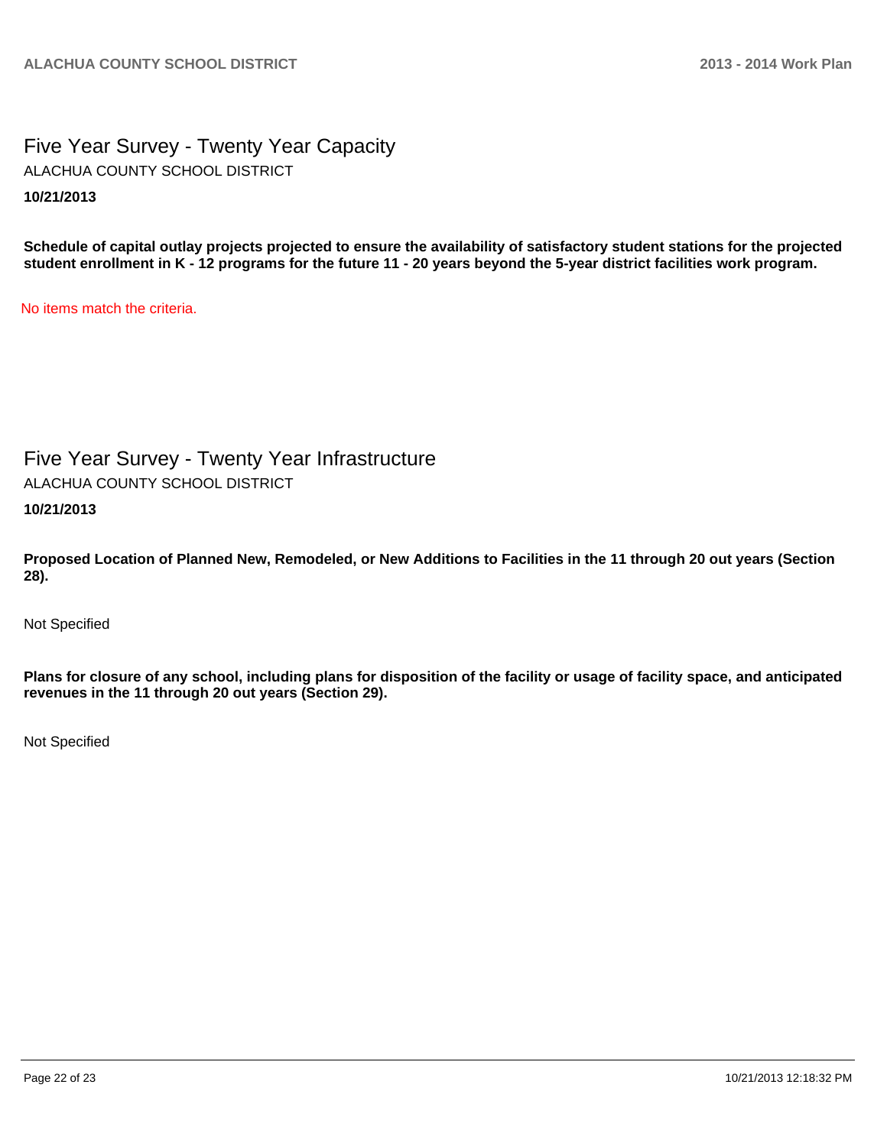# Five Year Survey - Twenty Year Capacity **10/21/2013** ALACHUA COUNTY SCHOOL DISTRICT

**Schedule of capital outlay projects projected to ensure the availability of satisfactory student stations for the projected student enrollment in K - 12 programs for the future 11 - 20 years beyond the 5-year district facilities work program.**

No items match the criteria.

# Five Year Survey - Twenty Year Infrastructure

ALACHUA COUNTY SCHOOL DISTRICT

**10/21/2013**

**Proposed Location of Planned New, Remodeled, or New Additions to Facilities in the 11 through 20 out years (Section 28).**

Not Specified

**Plans for closure of any school, including plans for disposition of the facility or usage of facility space, and anticipated revenues in the 11 through 20 out years (Section 29).**

Not Specified